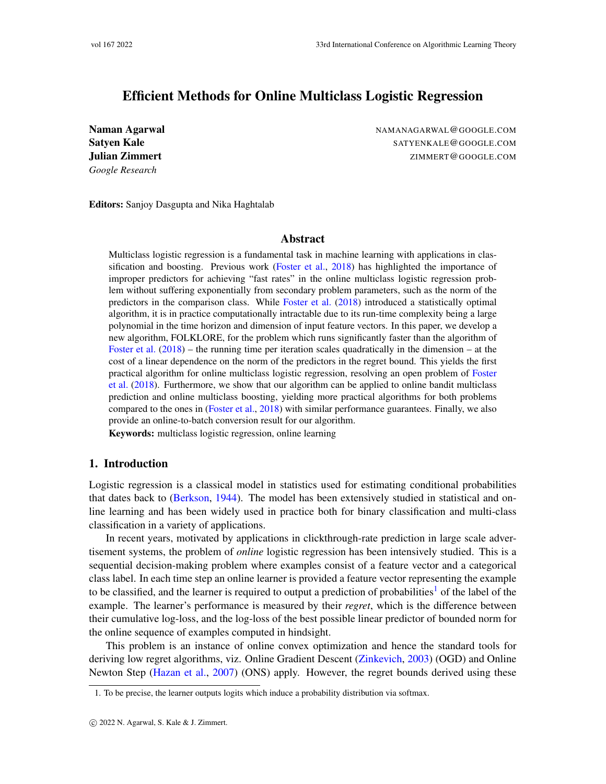# Efficient Methods for Online Multiclass Logistic Regression

*Google Research*

Naman Agarwal NAMANAGARWAL@GOOGLE.COM Satyen Kale Satyen Kale SATYENKALE@GOOGLE.COM **Julian Zimmert Example 21 Apr 2018 12:30 Tulian Zimmert ZIMMERT@GOOGLE.COM** 

Editors: Sanjoy Dasgupta and Nika Haghtalab

# Abstract

Multiclass logistic regression is a fundamental task in machine learning with applications in classification and boosting. Previous work [\(Foster et al.,](#page-13-0) [2018\)](#page-13-0) has highlighted the importance of improper predictors for achieving "fast rates" in the online multiclass logistic regression problem without suffering exponentially from secondary problem parameters, such as the norm of the predictors in the comparison class. While [Foster et al.](#page-13-0) [\(2018\)](#page-13-0) introduced a statistically optimal algorithm, it is in practice computationally intractable due to its run-time complexity being a large polynomial in the time horizon and dimension of input feature vectors. In this paper, we develop a new algorithm, FOLKLORE, for the problem which runs significantly faster than the algorithm of [Foster et al.](#page-13-0)  $(2018)$  – the running time per iteration scales quadratically in the dimension – at the cost of a linear dependence on the norm of the predictors in the regret bound. This yields the first practical algorithm for online multiclass logistic regression, resolving an open problem of [Foster](#page-13-0) [et al.](#page-13-0) [\(2018\)](#page-13-0). Furthermore, we show that our algorithm can be applied to online bandit multiclass prediction and online multiclass boosting, yielding more practical algorithms for both problems compared to the ones in [\(Foster et al.,](#page-13-0) [2018\)](#page-13-0) with similar performance guarantees. Finally, we also provide an online-to-batch conversion result for our algorithm.

Keywords: multiclass logistic regression, online learning

# 1. Introduction

Logistic regression is a classical model in statistics used for estimating conditional probabilities that dates back to [\(Berkson,](#page-12-0) [1944\)](#page-12-0). The model has been extensively studied in statistical and online learning and has been widely used in practice both for binary classification and multi-class classification in a variety of applications.

In recent years, motivated by applications in clickthrough-rate prediction in large scale advertisement systems, the problem of *online* logistic regression has been intensively studied. This is a sequential decision-making problem where examples consist of a feature vector and a categorical class label. In each time step an online learner is provided a feature vector representing the example to be classified, and the learner is required to output a prediction of probabilities<sup>[1](#page-0-0)</sup> of the label of the example. The learner's performance is measured by their *regret*, which is the difference between their cumulative log-loss, and the log-loss of the best possible linear predictor of bounded norm for the online sequence of examples computed in hindsight.

This problem is an instance of online convex optimization and hence the standard tools for deriving low regret algorithms, viz. Online Gradient Descent [\(Zinkevich,](#page-14-0) [2003\)](#page-14-0) (OGD) and Online Newton Step [\(Hazan et al.,](#page-13-1) [2007\)](#page-13-1) (ONS) apply. However, the regret bounds derived using these

<span id="page-0-0"></span><sup>1.</sup> To be precise, the learner outputs logits which induce a probability distribution via softmax.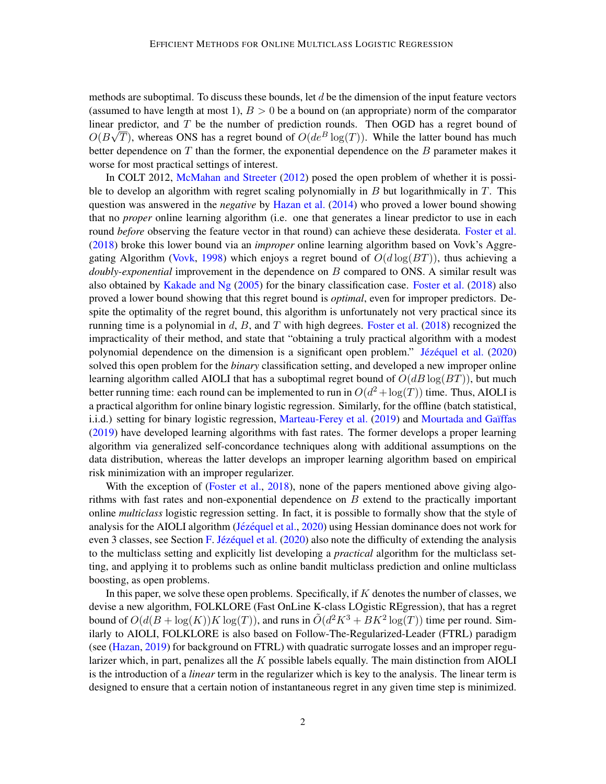methods are suboptimal. To discuss these bounds, let  $d$  be the dimension of the input feature vectors (assumed to have length at most 1),  $B > 0$  be a bound on (an appropriate) norm of the comparator linear predictor, and T be the number of prediction rounds. Then OGD has a regret bound of  $O(B\sqrt{T})$ , whereas ONS has a regret bound of  $O(de^{B}\log(T))$ . While the latter bound has much better dependence on  $T$  than the former, the exponential dependence on the  $B$  parameter makes it worse for most practical settings of interest.

In COLT 2012, [McMahan and Streeter](#page-14-1) [\(2012\)](#page-14-1) posed the open problem of whether it is possible to develop an algorithm with regret scaling polynomially in  $B$  but logarithmically in  $T$ . This question was answered in the *negative* by [Hazan et al.](#page-13-2) [\(2014\)](#page-13-2) who proved a lower bound showing that no *proper* online learning algorithm (i.e. one that generates a linear predictor to use in each round *before* observing the feature vector in that round) can achieve these desiderata. [Foster et al.](#page-13-0) [\(2018\)](#page-13-0) broke this lower bound via an *improper* online learning algorithm based on Vovk's Aggre-gating Algorithm [\(Vovk,](#page-14-2) [1998\)](#page-14-2) which enjoys a regret bound of  $O(d \log(BT))$ , thus achieving a *doubly-exponential* improvement in the dependence on B compared to ONS. A similar result was also obtained by [Kakade and Ng](#page-13-3) [\(2005\)](#page-13-3) for the binary classification case. [Foster et al.](#page-13-0) [\(2018\)](#page-13-0) also proved a lower bound showing that this regret bound is *optimal*, even for improper predictors. Despite the optimality of the regret bound, this algorithm is unfortunately not very practical since its running time is a polynomial in  $d$ ,  $B$ , and  $T$  with high degrees. [Foster et al.](#page-13-0) [\(2018\)](#page-13-0) recognized the impracticality of their method, and state that "obtaining a truly practical algorithm with a modest polynomial dependence on the dimension is a significant open problem." Jézéquel et al. [\(2020\)](#page-13-4) solved this open problem for the *binary* classification setting, and developed a new improper online learning algorithm called AIOLI that has a suboptimal regret bound of  $O(dB \log(BT))$ , but much better running time: each round can be implemented to run in  $O(d^2 + \log(T))$  time. Thus, AIOLI is a practical algorithm for online binary logistic regression. Similarly, for the offline (batch statistical, i.i.d.) setting for binary logistic regression, [Marteau-Ferey et al.](#page-14-3) [\(2019\)](#page-14-3) and Mourtada and Gaïffas [\(2019\)](#page-14-4) have developed learning algorithms with fast rates. The former develops a proper learning algorithm via generalized self-concordance techniques along with additional assumptions on the data distribution, whereas the latter develops an improper learning algorithm based on empirical risk minimization with an improper regularizer.

With the exception of [\(Foster et al.,](#page-13-0) [2018\)](#page-13-0), none of the papers mentioned above giving algorithms with fast rates and non-exponential dependence on  $B$  extend to the practically important online *multiclass* logistic regression setting. In fact, it is possible to formally show that the style of analysis for the AIOLI algorithm (Jézéquel et al., [2020\)](#page-13-4) using Hessian dominance does not work for even 3 classes, see Section [F.](#page-29-0) Jézéquel et al.  $(2020)$  also note the difficulty of extending the analysis to the multiclass setting and explicitly list developing a *practical* algorithm for the multiclass setting, and applying it to problems such as online bandit multiclass prediction and online multiclass boosting, as open problems.

In this paper, we solve these open problems. Specifically, if K denotes the number of classes, we devise a new algorithm, FOLKLORE (Fast OnLine K-class LOgistic REgression), that has a regret bound of  $O(d(B + \log(K))K \log(T))$ , and runs in  $O(d^2 K^3 + BK^2 \log(T))$  time per round. Similarly to AIOLI, FOLKLORE is also based on Follow-The-Regularized-Leader (FTRL) paradigm (see [\(Hazan,](#page-13-5) [2019\)](#page-13-5) for background on FTRL) with quadratic surrogate losses and an improper regularizer which, in part, penalizes all the  $K$  possible labels equally. The main distinction from AIOLI is the introduction of a *linear* term in the regularizer which is key to the analysis. The linear term is designed to ensure that a certain notion of instantaneous regret in any given time step is minimized.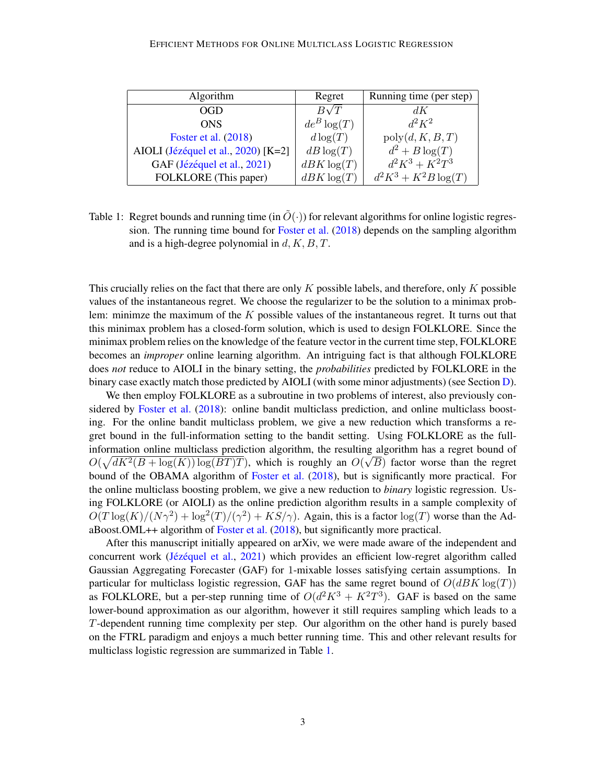| Algorithm                           | Regret         | Running time (per step) |
|-------------------------------------|----------------|-------------------------|
| OGD                                 | $B\sqrt{T}$    | dK                      |
| <b>ONS</b>                          | $de^B \log(T)$ | $d^2K^2$                |
| Foster et al. (2018)                | $d \log(T)$    | poly(d, K, B, T)        |
| AIOLI (Jézéquel et al., 2020) [K=2] | $dB \log(T)$   | $d^2 + B \log(T)$       |
| GAF (Jézéquel et al., 2021)         | $dBK \log(T)$  | $d^2K^3 + K^2T^3$       |
| FOLKLORE (This paper)               | $dBK \log(T)$  | $d^2K^3 + K^2B\log(T)$  |

<span id="page-2-0"></span>Table 1: Regret bounds and running time (in  $\tilde{O}(\cdot)$ ) for relevant algorithms for online logistic regression. The running time bound for [Foster et al.](#page-13-0) [\(2018\)](#page-13-0) depends on the sampling algorithm and is a high-degree polynomial in  $d, K, B, T$ .

This crucially relies on the fact that there are only  $K$  possible labels, and therefore, only  $K$  possible values of the instantaneous regret. We choose the regularizer to be the solution to a minimax problem: minimze the maximum of the  $K$  possible values of the instantaneous regret. It turns out that this minimax problem has a closed-form solution, which is used to design FOLKLORE. Since the minimax problem relies on the knowledge of the feature vector in the current time step, FOLKLORE becomes an *improper* online learning algorithm. An intriguing fact is that although FOLKLORE does *not* reduce to AIOLI in the binary setting, the *probabilities* predicted by FOLKLORE in the binary case exactly match those predicted by AIOLI (with some minor adjustments) (see Section [D\)](#page-25-0).

We then employ FOLKLORE as a subroutine in two problems of interest, also previously considered by [Foster et al.](#page-13-0) [\(2018\)](#page-13-0): online bandit multiclass prediction, and online multiclass boosting. For the online bandit multiclass problem, we give a new reduction which transforms a regret bound in the full-information setting to the bandit setting. Using FOLKLORE as the fullinformation online multiclass prediction algorithm, the resulting algorithm has a regret bound of  $O(\sqrt{dK^2(B + \log(K)) \log(BT)T})$ , which is roughly an  $O(\sqrt{B})$  factor worse than the regret bound of the OBAMA algorithm of [Foster et al.](#page-13-0) [\(2018\)](#page-13-0), but is significantly more practical. For the online multiclass boosting problem, we give a new reduction to *binary* logistic regression. Using FOLKLORE (or AIOLI) as the online prediction algorithm results in a sample complexity of  $O(T \log(K)/(N\gamma^2) + \log^2(T)/(\gamma^2) + KS/\gamma)$ . Again, this is a factor  $\log(T)$  worse than the AdaBoost.OML++ algorithm of [Foster et al.](#page-13-0) [\(2018\)](#page-13-0), but significantly more practical.

After this manuscript initially appeared on arXiv, we were made aware of the independent and concurrent work (Jézéquel et al.,  $2021$ ) which provides an efficient low-regret algorithm called Gaussian Aggregating Forecaster (GAF) for 1-mixable losses satisfying certain assumptions. In particular for multiclass logistic regression, GAF has the same regret bound of  $O(dBK \log(T))$ as FOLKLORE, but a per-step running time of  $O(d^2K^3 + K^2T^3)$ . GAF is based on the same lower-bound approximation as our algorithm, however it still requires sampling which leads to a T-dependent running time complexity per step. Our algorithm on the other hand is purely based on the FTRL paradigm and enjoys a much better running time. This and other relevant results for multiclass logistic regression are summarized in Table [1.](#page-2-0)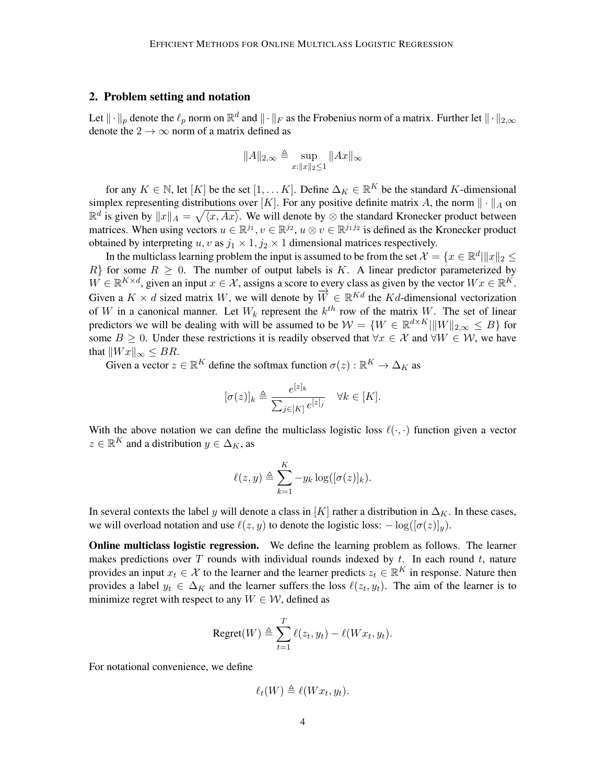### <span id="page-3-0"></span>2. Problem setting and notation

Let  $\|\cdot\|_p$  denote the  $\ell_p$  norm on  $\mathbb{R}^d$  and  $\|\cdot\|_F$  as the Frobenius norm of a matrix. Further let  $\|\cdot\|_{2,\infty}$ denote the  $2 \rightarrow \infty$  norm of a matrix defined as

$$
||A||_{2,\infty} \triangleq \sup_{x:||x||_2 \le 1} ||Ax||_{\infty}
$$

for any  $K \in \mathbb{N}$ , let  $[K]$  be the set  $[1, \ldots K]$ . Define  $\Delta_K \in \mathbb{R}^K$  be the standard K-dimensional simplex representing distributions over [K]. For any positive definite matrix A, the norm  $\|\cdot\|_A$  on  $\mathbb{R}^d$  is given by  $||x||_A = \sqrt{\langle x, Ax \rangle}$ . We will denote by ⊗ the standard Kronecker product between matrices. When using vectors  $u \in \mathbb{R}^{j_1}$ ,  $v \in \mathbb{R}^{j_2}$ ,  $u \otimes v \in \mathbb{R}^{j_1 j_2}$  is defined as the Kronecker product obtained by interpreting  $u, v$  as  $j_1 \times 1, j_2 \times 1$  dimensional matrices respectively.

In the multiclass learning problem the input is assumed to be from the set  $\mathcal{X} = \{x \in \mathbb{R}^d | ||x||_2 \leq \delta \}$  $R$ } for some  $R \geq 0$ . The number of output labels is K. A linear predictor parameterized by  $W \in \mathbb{R}^{K \times d}$ , given an input  $x \in \mathcal{X}$ , assigns a score to every class as given by the vector  $Wx \in \mathbb{R}^K$ . Given a  $K \times d$  sized matrix W, we will denote by  $\overrightarrow{W} \in \mathbb{R}^{Kd}$  the Kd-dimensional vectorization of W in a canonical manner. Let  $W_k$  represent the  $k^{th}$  row of the matrix W. The set of linear predictors we will be dealing with will be assumed to be  $W = \{W \in \mathbb{R}^{d \times K} | ||W||_{2,\infty} \leq B\}$  for some  $B \ge 0$ . Under these restrictions it is readily observed that  $\forall x \in \mathcal{X}$  and  $\forall W \in \mathcal{W}$ , we have that  $\|Wx\|_{\infty} \leq BR$ .

Given a vector  $z \in \mathbb{R}^K$  define the softmax function  $\sigma(z) : \mathbb{R}^K \to \Delta_K$  as

$$
[\sigma(z)]_k \triangleq \frac{e^{[z]_k}}{\sum_{j \in [K]} e^{[z]_j}} \quad \forall k \in [K].
$$

With the above notation we can define the multiclass logistic loss  $\ell(\cdot, \cdot)$  function given a vector  $z \in \mathbb{R}^K$  and a distribution  $y \in \Delta_K$ , as

$$
\ell(z, y) \triangleq \sum_{k=1}^{K} -y_k \log([\sigma(z)]_k).
$$

In several contexts the label y will denote a class in [K] rather a distribution in  $\Delta_K$ . In these cases, we will overload notation and use  $\ell(z, y)$  to denote the logistic loss:  $-\log([\sigma(z)]_y)$ .

**Online multiclass logistic regression.** We define the learning problem as follows. The learner makes predictions over  $T$  rounds with individual rounds indexed by  $t$ . In each round  $t$ , nature provides an input  $x_t \in \mathcal{X}$  to the learner and the learner predicts  $z_t \in \mathbb{R}^K$  in response. Nature then provides a label  $y_t \in \Delta_K$  and the learner suffers the loss  $\ell(z_t, y_t)$ . The aim of the learner is to minimize regret with respect to any  $W \in \mathcal{W}$ , defined as

$$
\text{Regret}(W) \triangleq \sum_{t=1}^{T} \ell(z_t, y_t) - \ell(Wx_t, y_t).
$$

For notational convenience, we define

$$
\ell_t(W) \triangleq \ell(Wx_t, y_t).
$$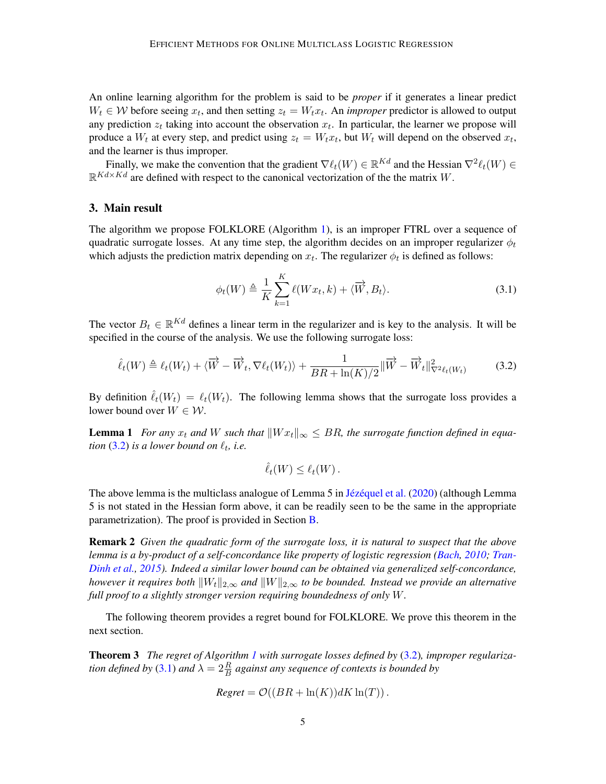An online learning algorithm for the problem is said to be *proper* if it generates a linear predict  $W_t \in \mathcal{W}$  before seeing  $x_t$ , and then setting  $z_t = W_t x_t$ . An *improper* predictor is allowed to output any prediction  $z_t$  taking into account the observation  $x_t$ . In particular, the learner we propose will produce a  $W_t$  at every step, and predict using  $z_t = W_t x_t$ , but  $W_t$  will depend on the observed  $x_t$ , and the learner is thus improper.

Finally, we make the convention that the gradient  $\nabla \ell_t(W) \in \mathbb{R}^{Kd}$  and the Hessian  $\nabla^2 \ell_t(W) \in$  $\mathbb{R}^{Kd \times Kd}$  are defined with respect to the canonical vectorization of the the matrix W.

#### 3. Main result

The algorithm we propose FOLKLORE (Algorithm [1\)](#page-5-0), is an improper FTRL over a sequence of quadratic surrogate losses. At any time step, the algorithm decides on an improper regularizer  $\phi_t$ which adjusts the prediction matrix depending on  $x_t$ . The regularizer  $\phi_t$  is defined as follows:

<span id="page-4-1"></span>
$$
\phi_t(W) \triangleq \frac{1}{K} \sum_{k=1}^K \ell(Wx_t, k) + \langle \overrightarrow{W}, B_t \rangle.
$$
 (3.1)

The vector  $B_t \in \mathbb{R}^{Kd}$  defines a linear term in the regularizer and is key to the analysis. It will be specified in the course of the analysis. We use the following surrogate loss:

$$
\hat{\ell}_t(W) \triangleq \ell_t(W_t) + \langle \overrightarrow{W} - \overrightarrow{W}_t, \nabla \ell_t(W_t) \rangle + \frac{1}{BR + \ln(K)/2} \|\overrightarrow{W} - \overrightarrow{W}_t\|_{\nabla^2 \ell_t(W_t)}^2 \tag{3.2}
$$

By definition  $\hat{\ell}_t(W_t) = \ell_t(W_t)$ . The following lemma shows that the surrogate loss provides a lower bound over  $W \in \mathcal{W}$ .

**Lemma 1** *For any*  $x_t$  *and* W *such that*  $||Wx_t||_{\infty} \leq BR$ , the surrogate function defined in equa*tion*  $(3.2)$  *is a lower bound on*  $\ell_t$ *, i.e.* 

<span id="page-4-3"></span><span id="page-4-0"></span>
$$
\hat{\ell}_t(W) \leq \ell_t(W).
$$

The above lemma is the multiclass analogue of Lemma 5 in Jézéquel et al.  $(2020)$  (although Lemma 5 is not stated in the Hessian form above, it can be readily seen to be the same in the appropriate parametrization). The proof is provided in Section [B.](#page-15-0)

Remark 2 *Given the quadratic form of the surrogate loss, it is natural to suspect that the above lemma is a by-product of a self-concordance like property of logistic regression [\(Bach,](#page-12-1) [2010;](#page-12-1) [Tran-](#page-14-5)[Dinh et al.,](#page-14-5) [2015\)](#page-14-5). Indeed a similar lower bound can be obtained via generalized self-concordance, however it requires both*  $||W_t||_{2,\infty}$  *and*  $||W||_{2,\infty}$  *to be bounded. Instead we provide an alternative full proof to a slightly stronger version requiring boundedness of only* W*.*

The following theorem provides a regret bound for FOLKLORE. We prove this theorem in the next section.

<span id="page-4-2"></span>Theorem 3 *The regret of Algorithm [1](#page-5-0) with surrogate losses defined by* [\(3.2\)](#page-4-0)*, improper regulariza-*tion defined by [\(3.1\)](#page-4-1) and  $\lambda = 2 \frac{R}{B}$  against any sequence of contexts is bounded by

$$
Regret = \mathcal{O}((BR + \ln(K))dK \ln(T)).
$$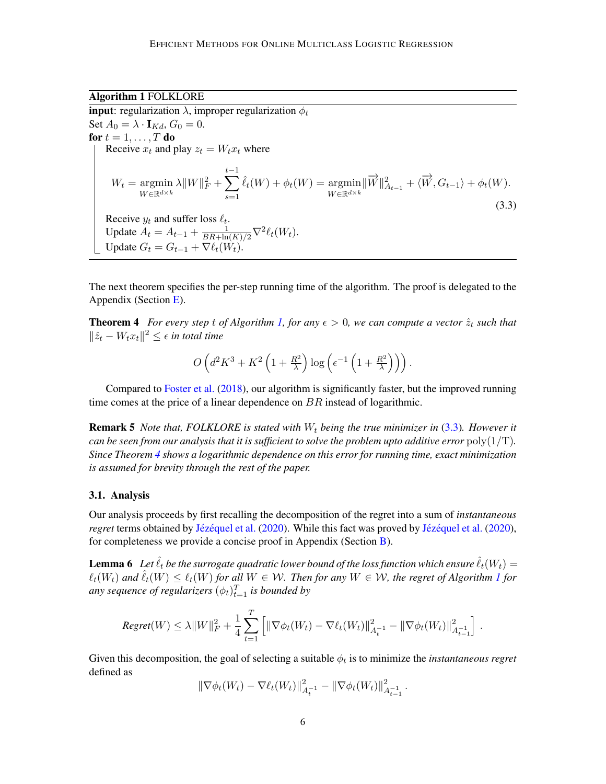Algorithm 1 FOLKLORE

<span id="page-5-1"></span><span id="page-5-0"></span>**input**: regularization  $\lambda$ , improper regularization  $\phi_t$ Set  $A_0 = \lambda \cdot I_{Kd}$ ,  $G_0 = 0$ . for  $t = 1, \ldots, T$  do Receive  $x_t$  and play  $z_t = W_t x_t$  where  $W_t = \text{argmin}$  $W\in\mathbb{R}^{d\times k}$  $\lambda \|W\|_F^2 + \sum_{}^{}% \sum_{}^{}% \sum_{}^{}% \sum_{}^{}^{}% \sum_{}^{}% \sum_{}^{}% \sum_{}^{}^{}% \sum_{}^{}^{}% \sum_{}^{}^{}(s_A^{~A}{}^A_s)^2,$  $t-1$  $s=1$  $\hat{\ell}_t(W) + \phi_t(W) = \text{argmin}$  $W\in \mathbb{R}^{d\times k}$  $\|\overrightarrow{W}\|_{A_{t-1}}^2 + \langle \overrightarrow{W}, G_{t-1} \rangle + \phi_t(W).$ (3.3) Receive  $y_t$  and suffer loss  $\ell_t$ . Update  $A_t = A_{t-1} + \frac{1}{BR + \ln(K)/2} \nabla^2 \ell_t(W_t)$ . Update  $G_t = G_{t-1} + \nabla \ell_t(W_t)$ .

The next theorem specifies the per-step running time of the algorithm. The proof is delegated to the Appendix (Section [E\)](#page-27-0).

**Theorem 4** *For every step t of Algorithm [1,](#page-5-0) for any*  $\epsilon > 0$ *, we can compute a vector*  $\hat{z}_t$  *such that*  $\|\hat{z}_t - W_t x_t\|^2 \leq \epsilon$  in total time

<span id="page-5-2"></span>
$$
O\left(d^2K^3 + K^2\left(1 + \frac{R^2}{\lambda}\right)\log\left(\epsilon^{-1}\left(1 + \frac{R^2}{\lambda}\right)\right)\right).
$$

Compared to [Foster et al.](#page-13-0) [\(2018\)](#page-13-0), our algorithm is significantly faster, but the improved running time comes at the price of a linear dependence on  $BR$  instead of logarithmic.

**Remark 5** *Note that, FOLKLORE is stated with*  $W_t$  *being the true minimizer in* [\(3.3\)](#page-5-1). However it *can be seen from our analysis that it is sufficient to solve the problem upto additive error*  $poly(1/T)$ *. Since Theorem [4](#page-5-2) shows a logarithmic dependence on this error for running time, exact minimization is assumed for brevity through the rest of the paper.*

#### 3.1. Analysis

Our analysis proceeds by first recalling the decomposition of the regret into a sum of *instantaneous regret* terms obtained by Jézéquel et al. [\(2020\)](#page-13-4). While this fact was proved by Jézéquel et al. (2020), for completeness we provide a concise proof in Appendix (Section [B\)](#page-15-0).

**Lemma 6** Let  $\hat{\ell}_t$  be the surrogate quadratic lower bound of the loss function which ensure  $\hat{\ell}_t(W_t)$  =  $\ell_t(W_t)$  and  $\hat{\ell}_t(W) \leq \ell_t(W)$  for all  $W \in \mathcal{W}$ . Then for any  $W \in \mathcal{W}$ , the regret of Algorithm [1](#page-5-0) for any sequence of regularizers  $(\phi_t)_{t=1}^T$  is bounded by

$$
Regret(W) \leq \lambda \|W\|_F^2 + \frac{1}{4} \sum_{t=1}^T \left[ \|\nabla \phi_t(W_t) - \nabla \ell_t(W_t)\|_{A_t^{-1}}^2 - \|\nabla \phi_t(W_t)\|_{A_{t-1}^{-1}}^2 \right].
$$

Given this decomposition, the goal of selecting a suitable  $\phi_t$  is to minimize the *instantaneous regret* defined as

<span id="page-5-3"></span>
$$
\|\nabla \phi_t(W_t) - \nabla \ell_t(W_t)\|_{A_t^{-1}}^2 - \|\nabla \phi_t(W_t)\|_{A_{t-1}^{-1}}^2.
$$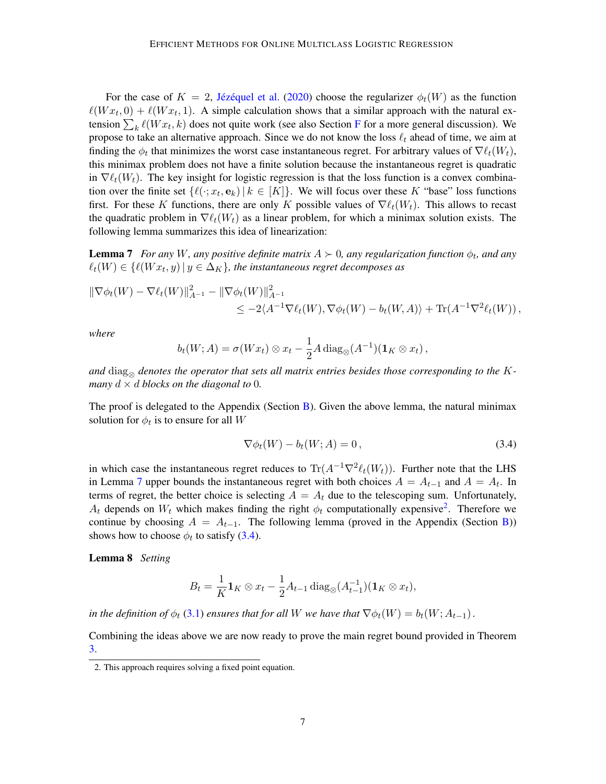For the case of  $K = 2$ , Jézéquel et al. [\(2020\)](#page-13-4) choose the regularizer  $\phi_t(W)$  as the function  $\ell(W_{x_t}, 0) + \ell(W_{x_t}, 1)$ . A simple calculation shows that a similar approach with the natural extension  $\sum_k \ell(W x_t, k)$  does not quite work (see also Section [F](#page-29-0) for a more general discussion). We propose to take an alternative approach. Since we do not know the loss  $\ell_t$  ahead of time, we aim at finding the  $\phi_t$  that minimizes the worst case instantaneous regret. For arbitrary values of  $\nabla \ell_t(W_t)$ , this minimax problem does not have a finite solution because the instantaneous regret is quadratic in  $\nabla \ell_t(W_t)$ . The key insight for logistic regression is that the loss function is a convex combination over the finite set  $\{\ell(\cdot; x_t, \mathbf{e}_k) | k \in [K]\}$ . We will focus over these K "base" loss functions first. For these K functions, there are only K possible values of  $\nabla \ell_t(W_t)$ . This allows to recast the quadratic problem in  $\nabla \ell_t(W_t)$  as a linear problem, for which a minimax solution exists. The following lemma summarizes this idea of linearization:

**Lemma 7** For any W, any positive definite matrix  $A \succ 0$ , any regularization function  $\phi_t$ , and any  $\ell_t(W) \in \{\ell(Wx_t, y) \, | \, y \in \Delta_K\}$ , the instantaneous regret decomposes as

$$
\|\nabla \phi_t(W) - \nabla \ell_t(W)\|_{A^{-1}}^2 - \|\nabla \phi_t(W)\|_{A^{-1}}^2 \n\leq -2\langle A^{-1} \nabla \ell_t(W), \nabla \phi_t(W) - b_t(W, A) \rangle + \text{Tr}(A^{-1} \nabla^2 \ell_t(W)),
$$

*where*

<span id="page-6-0"></span>
$$
b_t(W;A) = \sigma(Wx_t) \otimes x_t - \frac{1}{2}A \operatorname{diag}_{\otimes}(A^{-1})(\mathbf{1}_K \otimes x_t),
$$

and  $\text{diag}_{\otimes}$  denotes the operator that sets all matrix entries besides those corresponding to the K*many*  $d \times d$  *blocks on the diagonal to* 0*.* 

The proof is delegated to the Appendix (Section  $\overline{B}$ ). Given the above lemma, the natural minimax solution for  $\phi_t$  is to ensure for all W

<span id="page-6-2"></span>
$$
\nabla \phi_t(W) - b_t(W; A) = 0, \qquad (3.4)
$$

in which case the instantaneous regret reduces to  $\text{Tr}(A^{-1}\nabla^2 \ell_t(W_t))$ . Further note that the LHS in Lemma [7](#page-6-0) upper bounds the instantaneous regret with both choices  $A = A_{t-1}$  and  $A = A_t$ . In terms of regret, the better choice is selecting  $A = A_t$  due to the telescoping sum. Unfortunately,  $A_t$  depends on  $W_t$  which makes finding the right  $\phi_t$  computationally expensive<sup>[2](#page-6-1)</sup>. Therefore we continue by choosing  $A = A_{t-1}$ . The following lemma (proved in the Appendix (Section [B\)](#page-15-0)) shows how to choose  $\phi_t$  to satisfy [\(3.4\)](#page-6-2).

Lemma 8 *Setting*

<span id="page-6-3"></span>
$$
B_t = \frac{1}{K} \mathbf{1}_K \otimes x_t - \frac{1}{2} A_{t-1} \operatorname{diag}_{\otimes} (A_{t-1}^{-1}) (\mathbf{1}_K \otimes x_t),
$$

*in the definition of*  $\phi_t$  [\(3.1\)](#page-4-1) *ensures that for all* W *we have that*  $\nabla \phi_t(W) = b_t(W; A_{t-1})$ *.* 

Combining the ideas above we are now ready to prove the main regret bound provided in Theorem [3.](#page-4-2)

<span id="page-6-1"></span><sup>2.</sup> This approach requires solving a fixed point equation.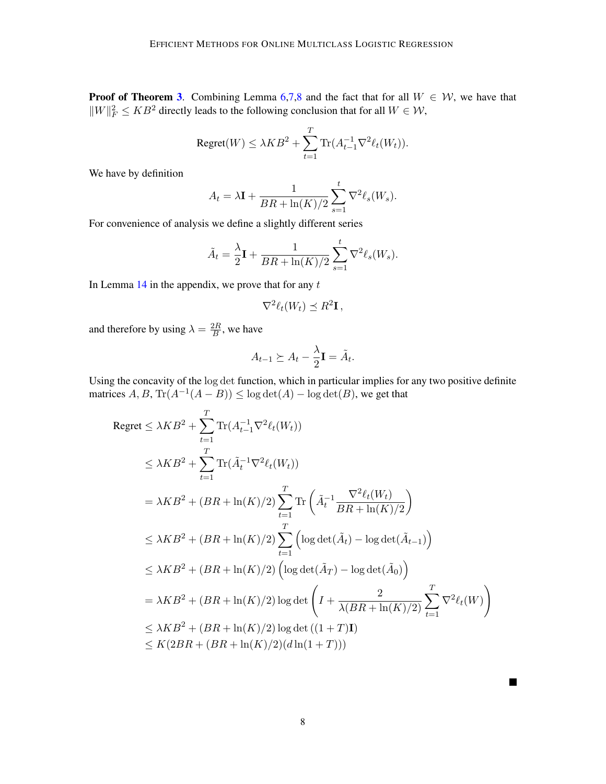**Proof of Theorem [3](#page-4-2).** Combining Lemma [6,](#page-5-3)[7](#page-6-0)[,8](#page-6-3) and the fact that for all  $W \in \mathcal{W}$ , we have that  $||W||_F^2 \le KB^2$  directly leads to the following conclusion that for all  $W \in \mathcal{W}$ ,

$$
\text{Regret}(W) \le \lambda KB^2 + \sum_{t=1}^T \text{Tr}(A_{t-1}^{-1} \nabla^2 \ell_t(W_t)).
$$

We have by definition

$$
A_t = \lambda \mathbf{I} + \frac{1}{BR + \ln(K)/2} \sum_{s=1}^t \nabla^2 \ell_s(W_s).
$$

For convenience of analysis we define a slightly different series

$$
\tilde{A}_t = \frac{\lambda}{2}\mathbf{I} + \frac{1}{BR + \ln(K)/2} \sum_{s=1}^t \nabla^2 \ell_s(W_s).
$$

In Lemma  $14$  in the appendix, we prove that for any  $t$ 

$$
\nabla^2 \ell_t(W_t) \preceq R^2 \mathbf{I},
$$

and therefore by using  $\lambda = \frac{2R}{B}$  $\frac{2R}{B}$ , we have

$$
A_{t-1} \succeq A_t - \frac{\lambda}{2} \mathbf{I} = \tilde{A}_t.
$$

Using the concavity of the log det function, which in particular implies for any two positive definite matrices  $A, B, \text{Tr}(A^{-1}(A - B)) \le \log \det(A) - \log \det(B)$ , we get that

$$
\begin{split}\n\text{Regret} &\leq \lambda KB^{2} + \sum_{t=1}^{T} \text{Tr}(A_{t-1}^{-1} \nabla^{2} \ell_{t}(W_{t})) \\
&\leq \lambda KB^{2} + \sum_{t=1}^{T} \text{Tr}(\tilde{A}_{t}^{-1} \nabla^{2} \ell_{t}(W_{t})) \\
&= \lambda KB^{2} + (BR + \ln(K)/2) \sum_{t=1}^{T} \text{Tr}\left(\tilde{A}_{t}^{-1} \frac{\nabla^{2} \ell_{t}(W_{t})}{BR + \ln(K)/2}\right) \\
&\leq \lambda KB^{2} + (BR + \ln(K)/2) \sum_{t=1}^{T} \left(\log \det(\tilde{A}_{t}) - \log \det(\tilde{A}_{t-1})\right) \\
&\leq \lambda KB^{2} + (BR + \ln(K)/2) \left(\log \det(\tilde{A}_{T}) - \log \det(\tilde{A}_{0})\right) \\
&= \lambda KB^{2} + (BR + \ln(K)/2) \log \det\left(I + \frac{2}{\lambda (BR + \ln(K)/2)} \sum_{t=1}^{T} \nabla^{2} \ell_{t}(W)\right) \\
&\leq \lambda KB^{2} + (BR + \ln(K)/2) \log \det\left((1+T)\mathbf{I}\right) \\
&\leq K(2BR + (BR + \ln(K)/2)(d\ln(1+T)))\n\end{split}
$$

 $\blacksquare$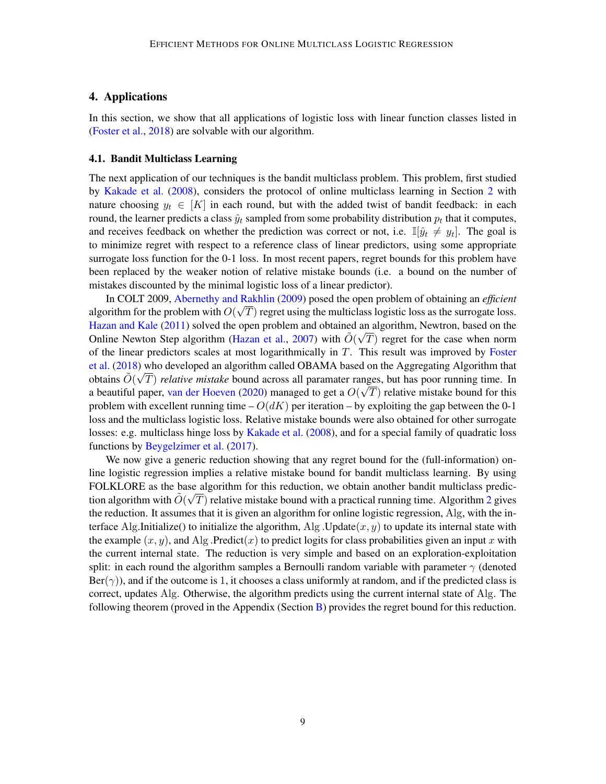# 4. Applications

In this section, we show that all applications of logistic loss with linear function classes listed in [\(Foster et al.,](#page-13-0) [2018\)](#page-13-0) are solvable with our algorithm.

#### 4.1. Bandit Multiclass Learning

The next application of our techniques is the bandit multiclass problem. This problem, first studied by [Kakade et al.](#page-13-7) [\(2008\)](#page-13-7), considers the protocol of online multiclass learning in Section [2](#page-3-0) with nature choosing  $y_t \in [K]$  in each round, but with the added twist of bandit feedback: in each round, the learner predicts a class  $\hat{y}_t$  sampled from some probability distribution  $p_t$  that it computes, and receives feedback on whether the prediction was correct or not, i.e.  $\mathbb{I}[\hat{y}_t \neq y_t]$ . The goal is to minimize regret with respect to a reference class of linear predictors, using some appropriate surrogate loss function for the 0-1 loss. In most recent papers, regret bounds for this problem have been replaced by the weaker notion of relative mistake bounds (i.e. a bound on the number of mistakes discounted by the minimal logistic loss of a linear predictor).

In COLT 2009, [Abernethy and Rakhlin](#page-12-2) [\(2009\)](#page-12-2) posed the open problem of obtaining an *efficient* √ algorithm for the problem with  $O(\sqrt{T})$  regret using the multiclass logistic loss as the surrogate loss. [Hazan and Kale](#page-13-8) [\(2011\)](#page-13-8) solved the open problem and obtained an algorithm, Newtron, based on the Online Newton Step algorithm [\(Hazan et al.,](#page-13-1) [2007\)](#page-13-1) with  $\tilde{O}(\sqrt{T})$  regret for the case when norm of the linear predictors scales at most logarithmically in  $T$ . This result was improved by [Foster](#page-13-0) [et al.](#page-13-0) [\(2018\)](#page-13-0) who developed an algorithm called OBAMA based on the Aggregating Algorithm that obtains  $\tilde{O}(\sqrt{T})$  *relative mistake* bound across all paramater ranges, but has poor running time. In a beautiful paper, [van der Hoeven](#page-14-7) [\(2020\)](#page-14-7) managed to get a  $O(\sqrt{T})$  relative mistake bound for this problem with excellent running time  $- O(dK)$  per iteration – by exploiting the gap between the 0-1 loss and the multiclass logistic loss. Relative mistake bounds were also obtained for other surrogate losses: e.g. multiclass hinge loss by [Kakade et al.](#page-13-7) [\(2008\)](#page-13-7), and for a special family of quadratic loss functions by [Beygelzimer et al.](#page-13-9) [\(2017\)](#page-13-9).

<span id="page-8-0"></span>We now give a generic reduction showing that any regret bound for the (full-information) online logistic regression implies a relative mistake bound for bandit multiclass learning. By using FOLKLORE as the base algorithm for this reduction, we obtain another bandit multiclass prediction algorithm with  $\tilde{O}(\sqrt{T})$  relative mistake bound with a practical running time. Algorithm [2](#page-9-0) gives the reduction. It assumes that it is given an algorithm for online logistic regression, Alg, with the interface Alg.Initialize() to initialize the algorithm, Alg .Update $(x, y)$  to update its internal state with the example  $(x, y)$ , and Alg .Predict(x) to predict logits for class probabilities given an input x with the current internal state. The reduction is very simple and based on an exploration-exploitation split: in each round the algorithm samples a Bernoulli random variable with parameter  $\gamma$  (denoted  $\text{Ber}(\gamma)$ ), and if the outcome is 1, it chooses a class uniformly at random, and if the predicted class is correct, updates Alg. Otherwise, the algorithm predicts using the current internal state of Alg. The following theorem (proved in the Appendix (Section [B\)](#page-15-0) provides the regret bound for this reduction.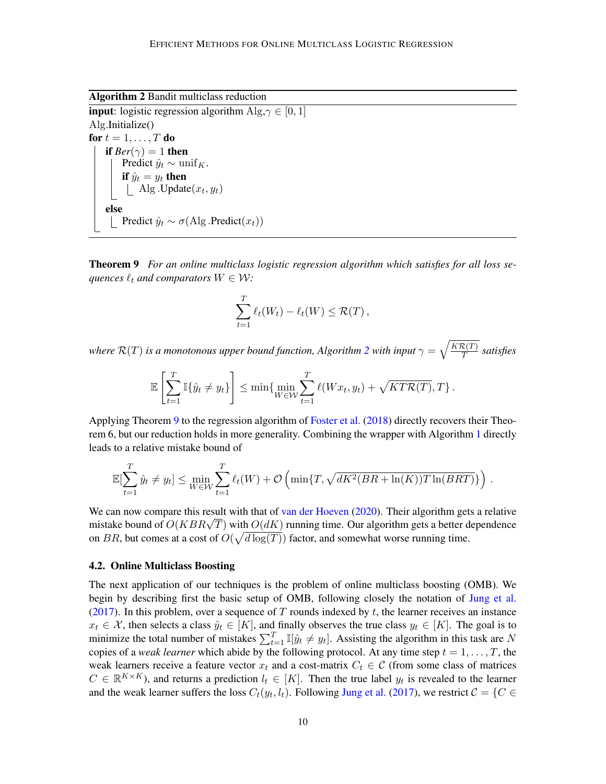Algorithm 2 Bandit multiclass reduction

**input**: logistic regression algorithm  $\text{Alg}, \gamma \in [0, 1]$ Alg.Initialize() for  $t = 1, \ldots, T$  do if  $Ber(\gamma) = 1$  then Predict  $\hat{y}_t \sim \text{unif}_K$ . if  $\hat{y}_t = y_t$  then Alg. Update $(x_t, y_t)$ else Predict  $\hat{y}_t \sim \sigma(\text{Alg} \cdot \text{Predict}(x_t))$ 

<span id="page-9-0"></span>Theorem 9 *For an online multiclass logistic regression algorithm which satisfies for all loss sequences*  $\ell_t$  *and comparators*  $W \in \mathcal{W}$ *:* 

$$
\sum_{t=1}^T \ell_t(W_t) - \ell_t(W) \leq \mathcal{R}(T),
$$

*where*  $\mathcal{R}(T)$  *is a monotonous upper bound function, Algorithm [2](#page-9-0) with input*  $\gamma = \sqrt{\frac{K\mathcal{R}(T)}{T}}$  $\frac{\mathcal{L}(I)}{T}$  satisfies

$$
\mathbb{E}\left[\sum_{t=1}^T \mathbb{I}\{\hat{y}_t \neq y_t\}\right] \leq \min\{\min_{W \in \mathcal{W}} \sum_{t=1}^T \ell(Wx_t, y_t) + \sqrt{KT\mathcal{R}(T)}, T\}.
$$

Applying Theorem [9](#page-8-0) to the regression algorithm of [Foster et al.](#page-13-0) [\(2018\)](#page-13-0) directly recovers their Theorem 6, but our reduction holds in more generality. Combining the wrapper with Algorithm [1](#page-5-0) directly leads to a relative mistake bound of

$$
\mathbb{E}[\sum_{t=1}^T \hat{y}_t \neq y_t] \le \min_{W \in \mathcal{W}} \sum_{t=1}^T \ell_t(W) + \mathcal{O}\left(\min\{T, \sqrt{dK^2(BR + \ln(K))T\ln(BRT)}\}\right).
$$

We can now compare this result with that of [van der Hoeven](#page-14-7) [\(2020\)](#page-14-7). Their algorithm gets a relative we can now compare this result with that of van der Hoeven (2020). Their algorithm gets a relative mistake bound of  $O(KBR\sqrt{T})$  with  $O(dK)$  running time. Our algorithm gets a better dependence on BR, but comes at a cost of  $O(\sqrt{d \log(T)})$  factor, and somewhat worse running time.

#### <span id="page-9-1"></span>4.2. Online Multiclass Boosting

The next application of our techniques is the problem of online multiclass boosting (OMB). We begin by describing first the basic setup of OMB, following closely the notation of [Jung et al.](#page-13-10) [\(2017\)](#page-13-10). In this problem, over a sequence of T rounds indexed by t, the learner receives an instance  $x_t \in \mathcal{X}$ , then selects a class  $\hat{y}_t \in [K]$ , and finally observes the true class  $y_t \in [K]$ . The goal is to minimize the total number of mistakes  $\sum_{t=1}^{T} \mathbb{I}[\hat{y}_t \neq y_t]$ . Assisting the algorithm in this task are N copies of a *weak learner* which abide by the following protocol. At any time step  $t = 1, \ldots, T$ , the weak learners receive a feature vector  $x_t$  and a cost-matrix  $C_t \in \mathcal{C}$  (from some class of matrices  $C \in \mathbb{R}^{K \times K}$ ), and returns a prediction  $l_t \in [K]$ . Then the true label  $y_t$  is revealed to the learner and the weak learner suffers the loss  $C_t(y_t, l_t)$ . Following [Jung et al.](#page-13-10) [\(2017\)](#page-13-10), we restrict  $C = \{C \in$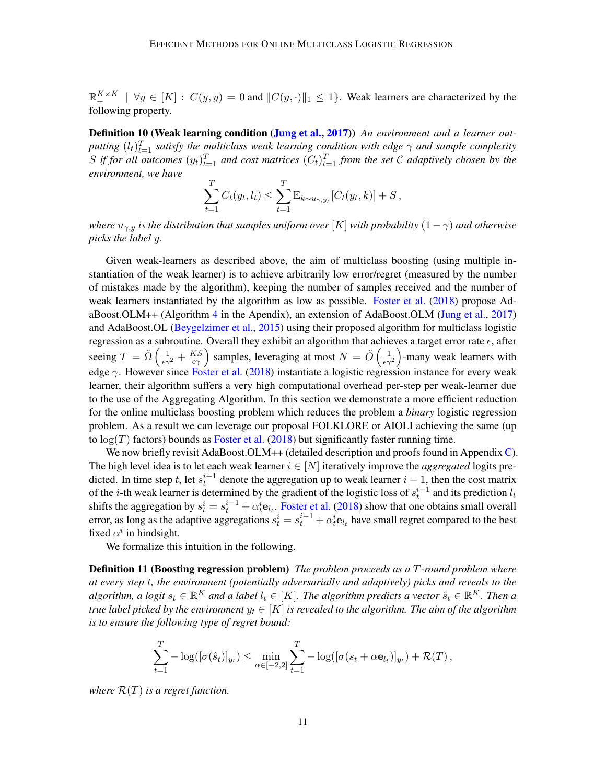$\mathbb{R}_+^{K \times K}$   $\mid \forall y \in [K] : C(y, y) = 0$  and  $||C(y, \cdot)||_1 \leq 1$ . Weak learners are characterized by the following property.

**Definition 10 (Weak learning condition [\(Jung et al.,](#page-13-10) [2017\)](#page-13-10))** An environment and a learner out*putting*  $(l_t)_{t=1}^T$  *satisfy the multiclass weak learning condition with edge*  $\gamma$  *and sample complexity* S if for all outcomes  $(y_t)_{t=1}^T$  and cost matrices  $(C_t)_{t=1}^T$  from the set C adaptively chosen by the *environment, we have*

$$
\sum_{t=1}^{T} C_t(y_t, l_t) \leq \sum_{t=1}^{T} \mathbb{E}_{k \sim u_{\gamma, y_t}}[C_t(y_t, k)] + S,
$$

*where*  $u_{\gamma,y}$  *is the distribution that samples uniform over* [K] *with probability*  $(1 - \gamma)$  *and otherwise picks the label* y*.*

Given weak-learners as described above, the aim of multiclass boosting (using multiple instantiation of the weak learner) is to achieve arbitrarily low error/regret (measured by the number of mistakes made by the algorithm), keeping the number of samples received and the number of weak learners instantiated by the algorithm as low as possible. [Foster et al.](#page-13-0) [\(2018\)](#page-13-0) propose AdaBoost.OLM++ (Algorithm [4](#page-21-0) in the Apendix), an extension of AdaBoost.OLM [\(Jung et al.,](#page-13-10) [2017\)](#page-13-10) and AdaBoost.OL [\(Beygelzimer et al.,](#page-13-11) [2015\)](#page-13-11) using their proposed algorithm for multiclass logistic regression as a subroutine. Overall they exhibit an algorithm that achieves a target error rate  $\epsilon$ , after seeing  $T = \tilde{\Omega}\left(\frac{1}{\epsilon\gamma^2} + \frac{KS}{\epsilon\gamma}\right)$  samples, leveraging at most  $N = \tilde{O}\left(\frac{1}{\epsilon\gamma^2}\right)$ -many weak learners with edge  $\gamma$ . However since [Foster et al.](#page-13-0) [\(2018\)](#page-13-0) instantiate a logistic regression instance for every weak learner, their algorithm suffers a very high computational overhead per-step per weak-learner due to the use of the Aggregating Algorithm. In this section we demonstrate a more efficient reduction for the online multiclass boosting problem which reduces the problem a *binary* logistic regression problem. As a result we can leverage our proposal FOLKLORE or AIOLI achieving the same (up to  $log(T)$  factors) bounds as [Foster et al.](#page-13-0) [\(2018\)](#page-13-0) but significantly faster running time.

We now briefly revisit AdaBoost.OLM++ (detailed description and proofs found in Appendix [C\)](#page-20-0). The high level idea is to let each weak learner  $i \in [N]$  iteratively improve the *aggregated* logits predicted. In time step t, let  $s_t^{i-1}$  denote the aggregation up to weak learner  $i-1$ , then the cost matrix of the *i*-th weak learner is determined by the gradient of the logistic loss of  $s_t^{i-1}$  and its prediction  $l_t$ shifts the aggregation by  $s_t^i = s_t^{i-1} + \alpha_t^i \mathbf{e}_{t_t}$ . [Foster et al.](#page-13-0) [\(2018\)](#page-13-0) show that one obtains small overall error, as long as the adaptive aggregations  $s_t^i = s_t^{i-1} + \alpha_t^i e_{l_t}$  have small regret compared to the best fixed  $\alpha^i$  in hindsight.

We formalize this intuition in the following.

Definition 11 (Boosting regression problem) *The problem proceeds as a* T*-round problem where at every step* t*, the environment (potentially adversarially and adaptively) picks and reveals to the*  $a$ lgorithm, a logit  $s_t \in \mathbb{R}^K$  and a label  $l_t \in [K]$ . The algorithm predicts a vector  $\hat{s}_t \in \mathbb{R}^K$ . Then a *true label picked by the environment*  $y_t \in [K]$  *is revealed to the algorithm. The aim of the algorithm is to ensure the following type of regret bound:*

$$
\sum_{t=1}^T -\log([\sigma(\hat{s}_t)]_{y_t}) \le \min_{\alpha \in [-2,2]} \sum_{t=1}^T -\log([\sigma(s_t + \alpha \mathbf{e}_{l_t})]_{y_t}) + \mathcal{R}(T),
$$

*where*  $\mathcal{R}(T)$  *is a regret function.*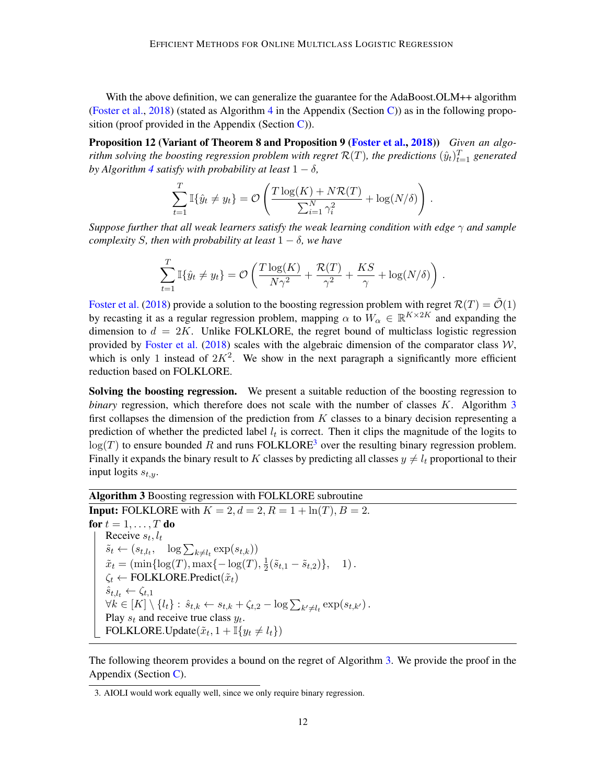With the above definition, we can generalize the guarantee for the AdaBoost.OLM++ algorithm [\(Foster et al.,](#page-13-0) [2018\)](#page-13-0) (stated as Algorithm [4](#page-21-0) in the Appendix (Section [C\)](#page-20-0)) as in the following proposition (proof provided in the Appendix (Section  $\overline{C}$ )).

Proposition 12 (Variant of Theorem 8 and Proposition 9 [\(Foster et al.,](#page-13-0) [2018\)](#page-13-0)) *Given an algorithm solving the boosting regression problem with regret*  $\mathcal{R}(T)$ , *the predictions*  $(\hat{y}_t)_{t=1}^T$  generated *by Algorithm* [4](#page-21-0) *satisfy with probability at least*  $1 - \delta$ *,* 

<span id="page-11-3"></span>
$$
\sum_{t=1}^T \mathbb{I}\{\hat{y}_t \neq y_t\} = \mathcal{O}\left(\frac{T\log(K) + N\mathcal{R}(T)}{\sum_{i=1}^N \gamma_i^2} + \log(N/\delta)\right).
$$

*Suppose further that all weak learners satisfy the weak learning condition with edge* γ *and sample complexity* S, then with probability at least  $1 - \delta$ , we have

$$
\sum_{t=1}^T \mathbb{I}\{\hat{y}_t \neq y_t\} = \mathcal{O}\left(\frac{T\log(K)}{N\gamma^2} + \frac{\mathcal{R}(T)}{\gamma^2} + \frac{KS}{\gamma} + \log(N/\delta)\right).
$$

[Foster et al.](#page-13-0) [\(2018\)](#page-13-0) provide a solution to the boosting regression problem with regret  $\mathcal{R}(T) = \tilde{\mathcal{O}}(1)$ by recasting it as a regular regression problem, mapping  $\alpha$  to  $W_{\alpha} \in \mathbb{R}^{K \times 2K}$  and expanding the dimension to  $d = 2K$ . Unlike FOLKLORE, the regret bound of multiclass logistic regression provided by [Foster et al.](#page-13-0) [\(2018\)](#page-13-0) scales with the algebraic dimension of the comparator class  $W$ , which is only 1 instead of  $2K^2$ . We show in the next paragraph a significantly more efficient reduction based on FOLKLORE.

Solving the boosting regression. We present a suitable reduction of the boosting regression to *binary* regression, which therefore does not scale with the number of classes K. Algorithm [3](#page-11-0) first collapses the dimension of the prediction from  $K$  classes to a binary decision representing a prediction of whether the predicted label  $l_t$  is correct. Then it clips the magnitude of the logits to  $log(T)$  to ensure bounded R and runs FOLKLORE<sup>[3](#page-11-1)</sup> over the resulting binary regression problem. Finally it expands the binary result to K classes by predicting all classes  $y \neq l_t$  proportional to their input logits  $s_{t,y}$ .

Algorithm 3 Boosting regression with FOLKLORE subroutine

**Input:** FOLKLORE with  $K = 2$ ,  $d = 2$ ,  $R = 1 + \ln(T)$ ,  $B = 2$ . for  $t = 1, \ldots, T$  do Receive  $s_t, l_t$  $\tilde{s}_t \leftarrow (s_{t,l_t}, \quad \log \sum_{k \neq l_t} \exp(s_{t,k}))$  $\tilde{x}_t = (\min\{\log(T), \max\{-\log(T), \frac{1}{2}\})$  $\frac{1}{2}(\tilde{s}_{t,1}-\tilde{s}_{t,2})\},$  1).  $\zeta_t \leftarrow \text{FOLKLORE.Predict}(\tilde{x}_t)$  $\hat{s}_{t,l_t} \leftarrow \zeta_{t,1}$  $\forall k \in [K] \setminus \{l_t\} : \hat{s}_{t,k} \leftarrow s_{t,k} + \zeta_{t,2} - \log \sum_{k' \neq l_t} \exp(s_{t,k'})$ . Play  $s_t$  and receive true class  $y_t$ . FOLKLORE.Update $(\tilde{x}_t, 1 + \mathbb{I}\{y_t \neq l_t\})$ 

<span id="page-11-0"></span>The following theorem provides a bound on the regret of Algorithm [3.](#page-11-0) We provide the proof in the Appendix (Section [C\)](#page-20-0).

<span id="page-11-2"></span><span id="page-11-1"></span><sup>3.</sup> AIOLI would work equally well, since we only require binary regression.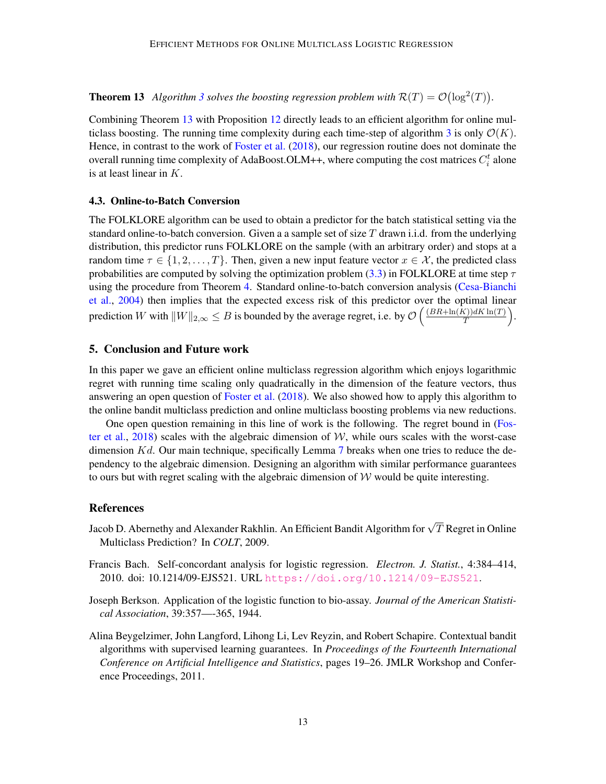**Theorem 1[3](#page-11-0)** Algorithm 3 solves the boosting regression problem with  $\mathcal{R}(T) = \mathcal{O}(\log^2(T))$ .

Combining Theorem [13](#page-11-2) with Proposition [12](#page-11-3) directly leads to an efficient algorithm for online mul-ticlass boosting. The running time complexity during each time-step of algorithm [3](#page-11-0) is only  $\mathcal{O}(K)$ . Hence, in contrast to the work of [Foster et al.](#page-13-0) [\(2018\)](#page-13-0), our regression routine does not dominate the overall running time complexity of AdaBoost.OLM++, where computing the cost matrices  $C_i^t$  alone is at least linear in K.

#### 4.3. Online-to-Batch Conversion

The FOLKLORE algorithm can be used to obtain a predictor for the batch statistical setting via the standard online-to-batch conversion. Given a a sample set of size  $T$  drawn i.i.d. from the underlying distribution, this predictor runs FOLKLORE on the sample (with an arbitrary order) and stops at a random time  $\tau \in \{1, 2, ..., T\}$ . Then, given a new input feature vector  $x \in \mathcal{X}$ , the predicted class probabilities are computed by solving the optimization problem [\(3.3\)](#page-5-1) in FOLKLORE at time step  $\tau$ using the procedure from Theorem [4.](#page-5-2) Standard online-to-batch conversion analysis [\(Cesa-Bianchi](#page-13-12) [et al.,](#page-13-12) [2004\)](#page-13-12) then implies that the expected excess risk of this predictor over the optimal linear prediction W with  $||W||_{2,\infty} \leq B$  is bounded by the average regret, i.e. by  $\mathcal{O}\left(\frac{(BR + \ln(K))dK \ln(T)}{T}\right)$  $\frac{\Gamma(\Gamma)}{T}$ .

# 5. Conclusion and Future work

In this paper we gave an efficient online multiclass regression algorithm which enjoys logarithmic regret with running time scaling only quadratically in the dimension of the feature vectors, thus answering an open question of [Foster et al.](#page-13-0) [\(2018\)](#page-13-0). We also showed how to apply this algorithm to the online bandit multiclass prediction and online multiclass boosting problems via new reductions.

One open question remaining in this line of work is the following. The regret bound in [\(Fos](#page-13-0)[ter et al.,](#page-13-0) [2018\)](#page-13-0) scales with the algebraic dimension of  $W$ , while ours scales with the worst-case dimension  $Kd$ . Our main technique, specifically Lemma [7](#page-6-0) breaks when one tries to reduce the dependency to the algebraic dimension. Designing an algorithm with similar performance guarantees to ours but with regret scaling with the algebraic dimension of  $W$  would be quite interesting.

### **References**

- <span id="page-12-2"></span>Jacob D. Abernethy and Alexander Rakhlin. An Efficient Bandit Algorithm for  $\sqrt{T}$  Regret in Online Multiclass Prediction? In *COLT*, 2009.
- <span id="page-12-1"></span>Francis Bach. Self-concordant analysis for logistic regression. *Electron. J. Statist.*, 4:384–414, 2010. doi: 10.1214/09-EJS521. URL <https://doi.org/10.1214/09-EJS521>.
- <span id="page-12-0"></span>Joseph Berkson. Application of the logistic function to bio-assay. *Journal of the American Statistical Association*, 39:357—-365, 1944.
- <span id="page-12-3"></span>Alina Beygelzimer, John Langford, Lihong Li, Lev Reyzin, and Robert Schapire. Contextual bandit algorithms with supervised learning guarantees. In *Proceedings of the Fourteenth International Conference on Artificial Intelligence and Statistics*, pages 19–26. JMLR Workshop and Conference Proceedings, 2011.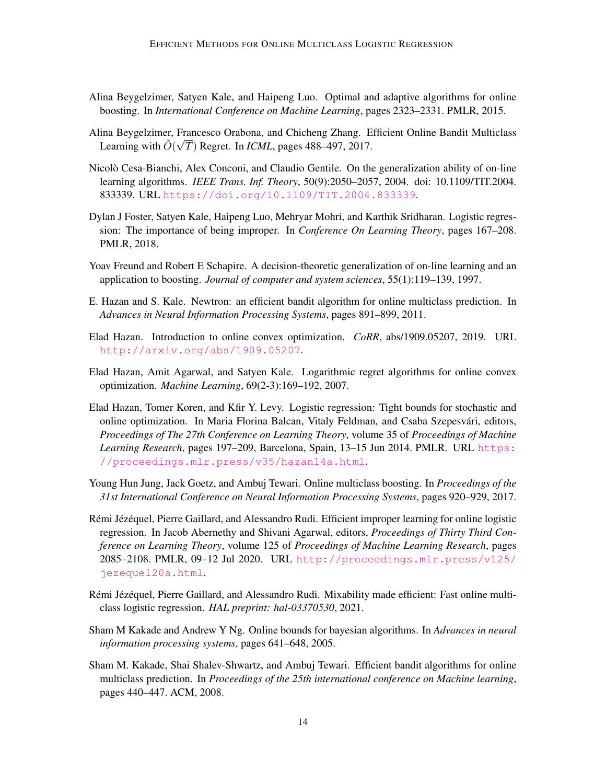- <span id="page-13-11"></span>Alina Beygelzimer, Satyen Kale, and Haipeng Luo. Optimal and adaptive algorithms for online boosting. In *International Conference on Machine Learning*, pages 2323–2331. PMLR, 2015.
- <span id="page-13-9"></span>Alina Beygelzimer, Francesco Orabona, and Chicheng Zhang. Efficient Online Bandit Multiclass Learning with  $\tilde{O}(\sqrt{T})$  Regret. In *ICML*, pages 488–497, 2017.
- <span id="page-13-12"></span>Nicolò Cesa-Bianchi, Alex Conconi, and Claudio Gentile. On the generalization ability of on-line learning algorithms. *IEEE Trans. Inf. Theory*, 50(9):2050–2057, 2004. doi: 10.1109/TIT.2004. 833339. URL <https://doi.org/10.1109/TIT.2004.833339>.
- <span id="page-13-0"></span>Dylan J Foster, Satyen Kale, Haipeng Luo, Mehryar Mohri, and Karthik Sridharan. Logistic regression: The importance of being improper. In *Conference On Learning Theory*, pages 167–208. PMLR, 2018.
- <span id="page-13-13"></span>Yoav Freund and Robert E Schapire. A decision-theoretic generalization of on-line learning and an application to boosting. *Journal of computer and system sciences*, 55(1):119–139, 1997.
- <span id="page-13-8"></span>E. Hazan and S. Kale. Newtron: an efficient bandit algorithm for online multiclass prediction. In *Advances in Neural Information Processing Systems*, pages 891–899, 2011.
- <span id="page-13-5"></span>Elad Hazan. Introduction to online convex optimization. *CoRR*, abs/1909.05207, 2019. URL <http://arxiv.org/abs/1909.05207>.
- <span id="page-13-1"></span>Elad Hazan, Amit Agarwal, and Satyen Kale. Logarithmic regret algorithms for online convex optimization. *Machine Learning*, 69(2-3):169–192, 2007.
- <span id="page-13-2"></span>Elad Hazan, Tomer Koren, and Kfir Y. Levy. Logistic regression: Tight bounds for stochastic and online optimization. In Maria Florina Balcan, Vitaly Feldman, and Csaba Szepesvari, editors, ´ *Proceedings of The 27th Conference on Learning Theory*, volume 35 of *Proceedings of Machine Learning Research*, pages 197–209, Barcelona, Spain, 13–15 Jun 2014. PMLR. URL [https:](https://proceedings.mlr.press/v35/hazan14a.html) [//proceedings.mlr.press/v35/hazan14a.html](https://proceedings.mlr.press/v35/hazan14a.html).
- <span id="page-13-10"></span>Young Hun Jung, Jack Goetz, and Ambuj Tewari. Online multiclass boosting. In *Proceedings of the 31st International Conference on Neural Information Processing Systems*, pages 920–929, 2017.
- <span id="page-13-4"></span>Rémi Jézéquel, Pierre Gaillard, and Alessandro Rudi. Efficient improper learning for online logistic regression. In Jacob Abernethy and Shivani Agarwal, editors, *Proceedings of Thirty Third Conference on Learning Theory*, volume 125 of *Proceedings of Machine Learning Research*, pages 2085–2108. PMLR, 09–12 Jul 2020. URL [http://proceedings.mlr.press/v125/](http://proceedings.mlr.press/v125/jezequel20a.html) [jezequel20a.html](http://proceedings.mlr.press/v125/jezequel20a.html).
- <span id="page-13-6"></span>Rémi Jézéquel, Pierre Gaillard, and Alessandro Rudi. Mixability made efficient: Fast online multiclass logistic regression. *HAL preprint: hal-03370530*, 2021.
- <span id="page-13-3"></span>Sham M Kakade and Andrew Y Ng. Online bounds for bayesian algorithms. In *Advances in neural information processing systems*, pages 641–648, 2005.
- <span id="page-13-7"></span>Sham M. Kakade, Shai Shalev-Shwartz, and Ambuj Tewari. Efficient bandit algorithms for online multiclass prediction. In *Proceedings of the 25th international conference on Machine learning*, pages 440–447. ACM, 2008.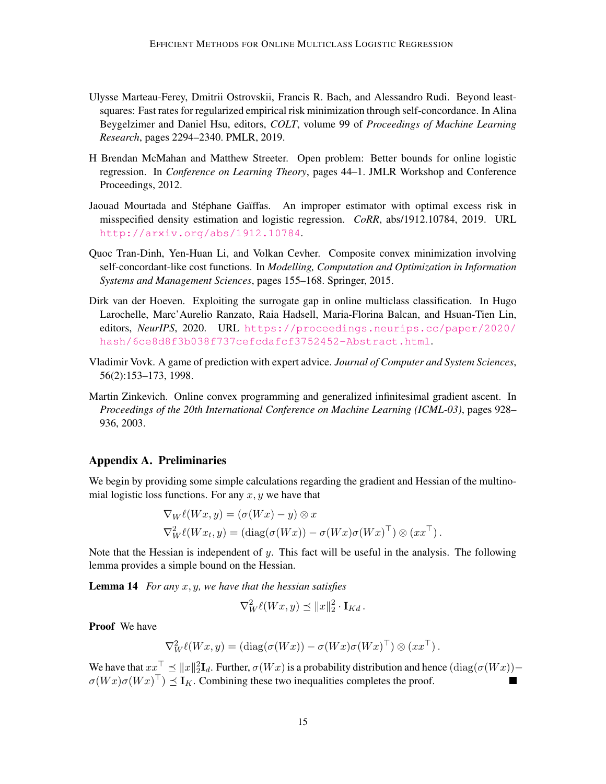- <span id="page-14-3"></span>Ulysse Marteau-Ferey, Dmitrii Ostrovskii, Francis R. Bach, and Alessandro Rudi. Beyond leastsquares: Fast rates for regularized empirical risk minimization through self-concordance. In Alina Beygelzimer and Daniel Hsu, editors, *COLT*, volume 99 of *Proceedings of Machine Learning Research*, pages 2294–2340. PMLR, 2019.
- <span id="page-14-1"></span>H Brendan McMahan and Matthew Streeter. Open problem: Better bounds for online logistic regression. In *Conference on Learning Theory*, pages 44–1. JMLR Workshop and Conference Proceedings, 2012.
- <span id="page-14-4"></span>Jaouad Mourtada and Stéphane Gaïffas. An improper estimator with optimal excess risk in misspecified density estimation and logistic regression. *CoRR*, abs/1912.10784, 2019. URL <http://arxiv.org/abs/1912.10784>.
- <span id="page-14-5"></span>Quoc Tran-Dinh, Yen-Huan Li, and Volkan Cevher. Composite convex minimization involving self-concordant-like cost functions. In *Modelling, Computation and Optimization in Information Systems and Management Sciences*, pages 155–168. Springer, 2015.
- <span id="page-14-7"></span>Dirk van der Hoeven. Exploiting the surrogate gap in online multiclass classification. In Hugo Larochelle, Marc'Aurelio Ranzato, Raia Hadsell, Maria-Florina Balcan, and Hsuan-Tien Lin, editors, *NeurIPS*, 2020. URL [https://proceedings.neurips.cc/paper/2020/](https://proceedings.neurips.cc/paper/2020/hash/6ce8d8f3b038f737cefcdafcf3752452-Abstract.html) [hash/6ce8d8f3b038f737cefcdafcf3752452-Abstract.html](https://proceedings.neurips.cc/paper/2020/hash/6ce8d8f3b038f737cefcdafcf3752452-Abstract.html).
- <span id="page-14-2"></span>Vladimir Vovk. A game of prediction with expert advice. *Journal of Computer and System Sciences*, 56(2):153–173, 1998.
- <span id="page-14-0"></span>Martin Zinkevich. Online convex programming and generalized infinitesimal gradient ascent. In *Proceedings of the 20th International Conference on Machine Learning (ICML-03)*, pages 928– 936, 2003.

#### Appendix A. Preliminaries

We begin by providing some simple calculations regarding the gradient and Hessian of the multinomial logistic loss functions. For any  $x, y$  we have that

$$
\nabla_W \ell(Wx, y) = (\sigma(Wx) - y) \otimes x
$$
  

$$
\nabla_W^2 \ell(Wx_t, y) = (\text{diag}(\sigma(Wx)) - \sigma(Wx)\sigma(Wx)^{\top}) \otimes (xx^{\top}).
$$

Note that the Hessian is independent of  $y$ . This fact will be useful in the analysis. The following lemma provides a simple bound on the Hessian.

<span id="page-14-6"></span>Lemma 14 *For any* x, y*, we have that the hessian satisfies*

$$
\nabla_W^2 \ell(Wx, y) \preceq ||x||_2^2 \cdot \mathbf{I}_{Kd}.
$$

Proof We have

$$
\nabla_W^2 \ell(Wx, y) = (\mathrm{diag}(\sigma(Wx)) - \sigma(Wx)\sigma(Wx)^{\top}) \otimes (xx^{\top}).
$$

We have that  $xx^\top \preceq ||x||_2^2 \mathbf{I}_d$ . Further,  $\sigma(Wx)$  is a probability distribution and hence  $(\text{diag}(\sigma(Wx)) \sigma(Wx)\sigma(Wx)^{\top} \leq I_K$ . Combining these two inequalities completes the proof.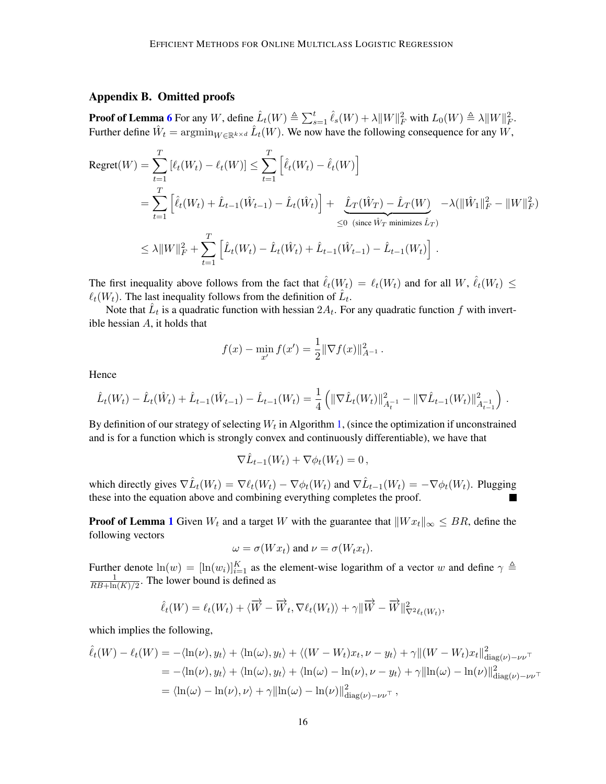### <span id="page-15-0"></span>Appendix B. Omitted proofs

**Proof of Lemma [6](#page-5-3)** For any W, define  $\hat{L}_t(W) \triangleq \sum_{s=1}^t \hat{\ell}_s(W) + \lambda ||W||_F^2$  with  $L_0(W) \triangleq \lambda ||W||_F^2$ . Further define  $\hat{W}_t = \operatorname{argmin}_{W \in \mathbb{R}^{k \times d}} \hat{L}_t(W)$ . We now have the following consequence for any  $W$ ,

$$
\begin{split} \text{Regret}(W) &= \sum_{t=1}^{T} \left[ \ell_t(W_t) - \ell_t(W) \right] \leq \sum_{t=1}^{T} \left[ \hat{\ell}_t(W_t) - \hat{\ell}_t(W) \right] \\ &= \sum_{t=1}^{T} \left[ \hat{\ell}_t(W_t) + \hat{L}_{t-1}(\hat{W}_{t-1}) - \hat{L}_t(\hat{W}_t) \right] + \underbrace{\hat{L}_T(\hat{W}_T) - \hat{L}_T(W)}_{\leq 0 \text{ (since } \hat{W}_T \text{ minimizes } \hat{L}_T)} - \lambda (\|\hat{W}_1\|_F^2 - \|W\|_F^2) \\ &\leq \lambda \|W\|_F^2 + \sum_{t=1}^{T} \left[ \hat{L}_t(W_t) - \hat{L}_t(\hat{W}_t) + \hat{L}_{t-1}(\hat{W}_{t-1}) - \hat{L}_{t-1}(W_t) \right] \,. \end{split}
$$

The first inequality above follows from the fact that  $\hat{\ell}_t(W_t) = \ell_t(W_t)$  and for all  $W, \hat{\ell}_t(W_t) \leq$  $\ell_t(W_t)$ . The last inequality follows from the definition of  $\hat{L}_t$ .

Note that  $\hat{L}_t$  is a quadratic function with hessian  $2A_t$ . For any quadratic function f with invertible hessian A, it holds that

$$
f(x) - \min_{x'} f(x') = \frac{1}{2} ||\nabla f(x)||_{A^{-1}}^2.
$$

Hence

$$
\hat{L}_t(W_t) - \hat{L}_t(\hat{W}_t) + \hat{L}_{t-1}(\hat{W}_{t-1}) - \hat{L}_{t-1}(W_t) = \frac{1}{4} \left( \|\nabla \hat{L}_t(W_t)\|_{A_t^{-1}}^2 - \|\nabla \hat{L}_{t-1}(W_t)\|_{A_{t-1}^{-1}}^2 \right).
$$

By definition of our strategy of selecting  $W_t$  in Algorithm [1,](#page-5-0) (since the optimization if unconstrained and is for a function which is strongly convex and continuously differentiable), we have that

$$
\nabla \hat{L}_{t-1}(W_t) + \nabla \phi_t(W_t) = 0,
$$

which directly gives  $\nabla \hat{L}_t(W_t) = \nabla \ell_t(W_t) - \nabla \phi_t(W_t)$  and  $\nabla \hat{L}_{t-1}(W_t) = -\nabla \phi_t(W_t)$ . Plugging these into the equation above and combining everything completes the proof.

**Proof of Lemma [1](#page-4-3)** Given  $W_t$  and a target W with the guarantee that  $\|W x_t\|_{\infty} \leq BR$ , define the following vectors

$$
\omega = \sigma(Wx_t) \text{ and } \nu = \sigma(W_t x_t).
$$

Further denote  $\ln(w) = [\ln(w_i)]_{i=1}^K$  as the element-wise logarithm of a vector w and define  $\gamma \triangleq$ 1  $\frac{1}{RB+\ln(K)/2}$ . The lower bound is defined as

$$
\hat{\ell}_t(W) = \ell_t(W_t) + \langle \overrightarrow{W} - \overrightarrow{W}_t, \nabla \ell_t(W_t) \rangle + \gamma \|\overrightarrow{W} - \overrightarrow{W}\|_{\nabla^2 \ell_t(W_t)}^2,
$$

which implies the following,

$$
\hat{\ell}_t(W) - \ell_t(W) = -\langle \ln(\nu), y_t \rangle + \langle \ln(\omega), y_t \rangle + \langle (W - W_t)x_t, \nu - y_t \rangle + \gamma ||(W - W_t)x_t||_{\text{diag}(\nu) - \nu \nu}^2
$$
  
\n
$$
= -\langle \ln(\nu), y_t \rangle + \langle \ln(\omega), y_t \rangle + \langle \ln(\omega) - \ln(\nu), \nu - y_t \rangle + \gamma ||\ln(\omega) - \ln(\nu)||_{\text{diag}(\nu) - \nu \nu}^2
$$
  
\n
$$
= \langle \ln(\omega) - \ln(\nu), \nu \rangle + \gamma ||\ln(\omega) - \ln(\nu)||_{\text{diag}(\nu) - \nu \nu}^2,
$$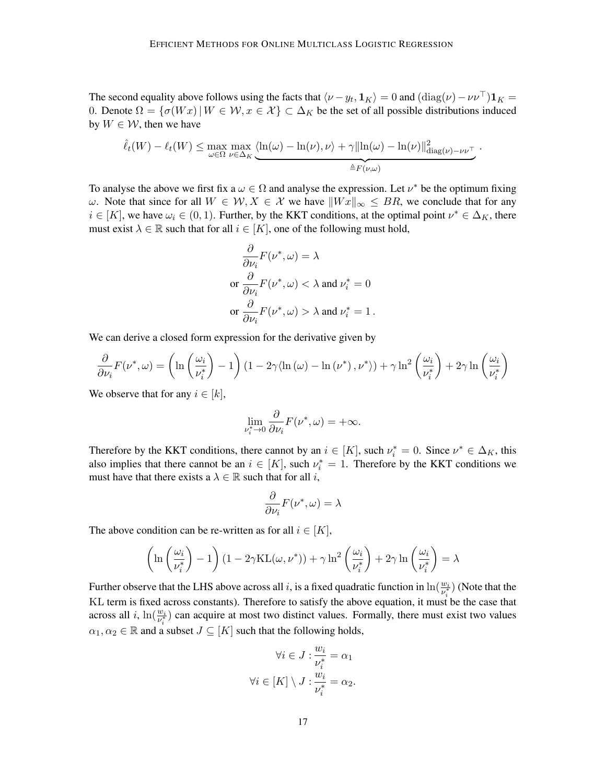The second equality above follows using the facts that  $\langle \nu - y_t, \mathbf{1}_K \rangle = 0$  and  $(\text{diag}(\nu) - \nu \nu^\top) \mathbf{1}_K =$ 0. Denote  $\Omega = \{\sigma(Wx) | W \in \mathcal{W}, x \in \mathcal{X}\}\subset \Delta_K$  be the set of all possible distributions induced by  $W \in \mathcal{W}$ , then we have

$$
\hat{\ell}_t(W) - \ell_t(W) \le \max_{\omega \in \Omega} \max_{\nu \in \Delta_K} \underbrace{\langle \ln(\omega) - \ln(\nu), \nu \rangle + \gamma \|\ln(\omega) - \ln(\nu)\|_{\text{diag}(\nu) - \nu \nu}^2}_{\triangleq F(\nu, \omega)}.
$$

To analyse the above we first fix a  $\omega \in \Omega$  and analyse the expression. Let  $\nu^*$  be the optimum fixing ω. Note that since for all  $W ∈ W, X ∈ X$  we have  $||Wx||_{\infty} ≤ BR$ , we conclude that for any  $i \in [K]$ , we have  $\omega_i \in (0, 1)$ . Further, by the KKT conditions, at the optimal point  $\nu^* \in \Delta_K$ , there must exist  $\lambda \in \mathbb{R}$  such that for all  $i \in [K]$ , one of the following must hold,

$$
\frac{\partial}{\partial \nu_i} F(\nu^*, \omega) = \lambda
$$
  
or 
$$
\frac{\partial}{\partial \nu_i} F(\nu^*, \omega) < \lambda \text{ and } \nu_i^* = 0
$$
  
or 
$$
\frac{\partial}{\partial \nu_i} F(\nu^*, \omega) > \lambda \text{ and } \nu_i^* = 1.
$$

We can derive a closed form expression for the derivative given by

$$
\frac{\partial}{\partial \nu_i} F(\nu^*, \omega) = \left( \ln \left( \frac{\omega_i}{\nu_i^*} \right) - 1 \right) \left( 1 - 2\gamma \langle \ln(\omega) - \ln(\nu^*) , \nu^* \rangle \right) + \gamma \ln^2 \left( \frac{\omega_i}{\nu_i^*} \right) + 2\gamma \ln \left( \frac{\omega_i}{\nu_i^*} \right)
$$

We observe that for any  $i \in [k]$ ,

$$
\lim_{\nu_i^* \to 0} \frac{\partial}{\partial \nu_i} F(\nu^*, \omega) = +\infty.
$$

Therefore by the KKT conditions, there cannot by an  $i \in [K]$ , such  $\nu_i^* = 0$ . Since  $\nu^* \in \Delta_K$ , this also implies that there cannot be an  $i \in [K]$ , such  $\nu_i^* = 1$ . Therefore by the KKT conditions we must have that there exists a  $\lambda \in \mathbb{R}$  such that for all i,

$$
\frac{\partial}{\partial \nu_i} F(\nu^*, \omega) = \lambda
$$

The above condition can be re-written as for all  $i \in [K]$ ,

$$
\left(\ln\left(\frac{\omega_i}{\nu_i^*}\right)-1\right)(1-2\gamma \mathrm{KL}(\omega,\nu^*))+\gamma \ln^2\left(\frac{\omega_i}{\nu_i^*}\right)+2\gamma \ln\left(\frac{\omega_i}{\nu_i^*}\right)=\lambda
$$

Further observe that the LHS above across all i, is a fixed quadratic function in  $\ln(\frac{w_i}{v_i^*})$  (Note that the KL term is fixed across constants). Therefore to satisfy the above equation, it must be the case that across all i,  $\ln(\frac{w_i}{v_i^*})$  can acquire at most two distinct values. Formally, there must exist two values  $\alpha_1, \alpha_2 \in \mathbb{R}$  and a subset  $J \subseteq [K]$  such that the following holds,

$$
\forall i \in J : \frac{w_i}{\nu_i^*} = \alpha_1
$$

$$
\forall i \in [K] \setminus J : \frac{w_i}{\nu_i^*} = \alpha_2.
$$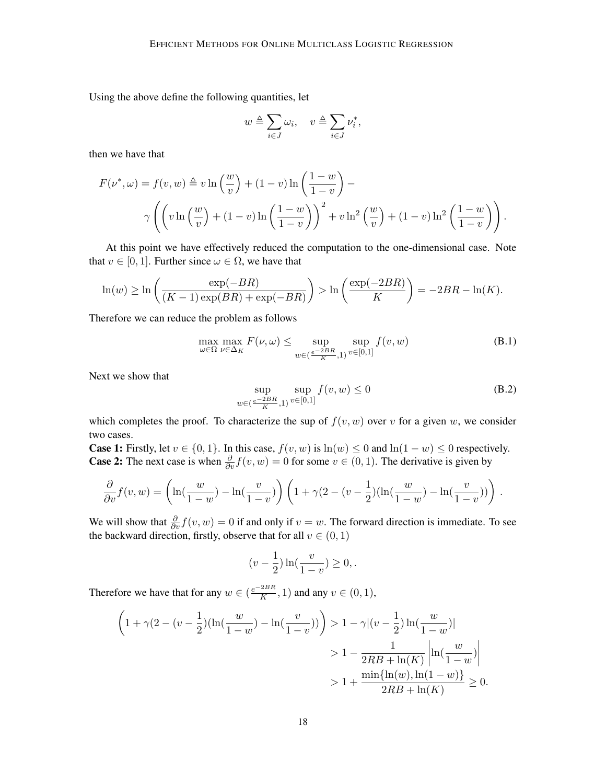Using the above define the following quantities, let

$$
w \triangleq \sum_{i \in J} \omega_i, \quad v \triangleq \sum_{i \in J} \nu_i^*,
$$

then we have that

$$
F(\nu^*, \omega) = f(v, w) \triangleq v \ln\left(\frac{w}{v}\right) + (1 - v) \ln\left(\frac{1 - w}{1 - v}\right) - \gamma \left(\left(v \ln\left(\frac{w}{v}\right) + (1 - v) \ln\left(\frac{1 - w}{1 - v}\right)\right)^2 + v \ln^2\left(\frac{w}{v}\right) + (1 - v) \ln^2\left(\frac{1 - w}{1 - v}\right)\right).
$$

At this point we have effectively reduced the computation to the one-dimensional case. Note that  $v \in [0, 1]$ . Further since  $\omega \in \Omega$ , we have that

$$
\ln(w) \ge \ln\left(\frac{\exp(-BR)}{(K-1)\exp(BR) + \exp(-BR)}\right) > \ln\left(\frac{\exp(-2BR)}{K}\right) = -2BR - \ln(K).
$$

Therefore we can reduce the problem as follows

<span id="page-17-1"></span>
$$
\max_{\omega \in \Omega} \max_{\nu \in \Delta_K} F(\nu, \omega) \le \sup_{w \in (\frac{e^{-2BR}}{K}, 1)} \sup_{v \in [0,1]} f(v, w) \tag{B.1}
$$

Next we show that

<span id="page-17-0"></span>
$$
\sup_{w \in (\frac{e^{-2BR}}{K}, 1)} \sup_{v \in [0,1]} f(v, w) \le 0
$$
\n(B.2)

which completes the proof. To characterize the sup of  $f(v, w)$  over v for a given w, we consider two cases.

**Case 1:** Firstly, let  $v \in \{0, 1\}$ . In this case,  $f(v, w)$  is  $\ln(w) \le 0$  and  $\ln(1 - w) \le 0$  respectively. **Case 2:** The next case is when  $\frac{\partial}{\partial v} f(v, w) = 0$  for some  $v \in (0, 1)$ . The derivative is given by

$$
\frac{\partial}{\partial v} f(v, w) = \left(\ln\left(\frac{w}{1-w}\right) - \ln\left(\frac{v}{1-v}\right)\right) \left(1 + \gamma(2 - (v - \frac{1}{2})(\ln\left(\frac{w}{1-w}\right) - \ln\left(\frac{v}{1-v}\right))\right).
$$

We will show that  $\frac{\partial}{\partial v}f(v, w) = 0$  if and only if  $v = w$ . The forward direction is immediate. To see the backward direction, firstly, observe that for all  $v \in (0, 1)$ 

$$
(v - \frac{1}{2}) \ln(\frac{v}{1 - v}) \ge 0,
$$

Therefore we have that for any  $w \in (\frac{e^{-2BR}}{K})$  $\frac{2Dt}{K}$ , 1) and any  $v \in (0,1)$ ,

$$
\left(1 + \gamma(2 - (v - \frac{1}{2})(\ln(\frac{w}{1 - w}) - \ln(\frac{v}{1 - v}))\right) > 1 - \gamma|(v - \frac{1}{2})\ln(\frac{w}{1 - w})|
$$
  
> 1 -  $\frac{1}{2RB + \ln(K)}\left|\ln(\frac{w}{1 - w})\right|$   
> 1 +  $\frac{\min\{\ln(w), \ln(1 - w)\}}{2RB + \ln(K)} \ge 0.$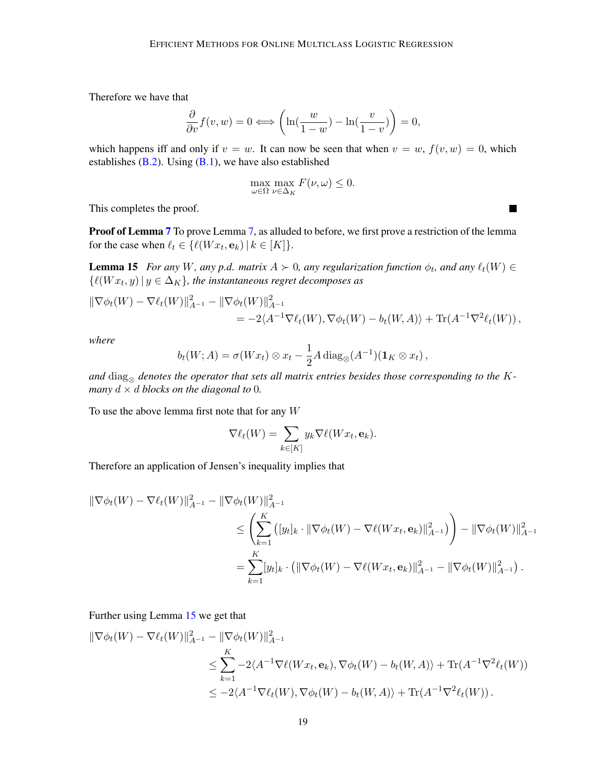Therefore we have that

$$
\frac{\partial}{\partial v} f(v, w) = 0 \Longleftrightarrow \left( \ln(\frac{w}{1 - w}) - \ln(\frac{v}{1 - v}) \right) = 0,
$$

which happens iff and only if  $v = w$ . It can now be seen that when  $v = w$ ,  $f(v, w) = 0$ , which establishes  $(B.2)$ . Using  $(B.1)$ , we have also established

$$
\max_{\omega \in \Omega} \max_{\nu \in \Delta_K} F(\nu, \omega) \le 0.
$$

This completes the proof.

Proof of Lemma [7](#page-6-0) To prove Lemma [7,](#page-6-0) as alluded to before, we first prove a restriction of the lemma for the case when  $\ell_t \in \{ \ell(Wx_t, \mathbf{e}_k) \mid k \in [K] \}.$ 

<span id="page-18-0"></span>**Lemma 15** *For any* W, any p.d. matrix  $A \succ 0$ , any regularization function  $\phi_t$ , and any  $\ell_t(W) \in$  $\{\ell(Wx_t, y) | y \in \Delta_K\}$ , the instantaneous regret decomposes as

$$
\|\nabla \phi_t(W) - \nabla \ell_t(W)\|_{A^{-1}}^2 - \|\nabla \phi_t(W)\|_{A^{-1}}^2 = -2\langle A^{-1} \nabla \ell_t(W), \nabla \phi_t(W) - b_t(W, A) \rangle + \text{Tr}(A^{-1} \nabla^2 \ell_t(W)),
$$

*where*

$$
b_t(W;A) = \sigma(Wx_t) \otimes x_t - \frac{1}{2}A \operatorname{diag}_{\otimes}(A^{-1})(\mathbf{1}_K \otimes x_t),
$$

and  $\text{diag}_{\otimes}$  denotes the operator that sets all matrix entries besides those corresponding to the K*many*  $d \times d$  *blocks on the diagonal to* 0*.* 

To use the above lemma first note that for any  $W$ 

$$
\nabla \ell_t(W) = \sum_{k \in [K]} y_k \nabla \ell(W x_t, \mathbf{e}_k).
$$

Therefore an application of Jensen's inequality implies that

$$
\begin{aligned} \|\nabla \phi_t(W) - \nabla \ell_t(W)\|_{A^{-1}}^2 - \|\nabla \phi_t(W)\|_{A^{-1}}^2 \\ &\le \left(\sum_{k=1}^K \left( [y_t]_k \cdot \|\nabla \phi_t(W) - \nabla \ell(W x_t, \mathbf{e}_k)\|_{A^{-1}}^2 \right) \right) - \|\nabla \phi_t(W)\|_{A^{-1}}^2 \\ &= \sum_{k=1}^K [y_t]_k \cdot \left( \|\nabla \phi_t(W) - \nabla \ell(W x_t, \mathbf{e}_k)\|_{A^{-1}}^2 - \|\nabla \phi_t(W)\|_{A^{-1}}^2 \right). \end{aligned}
$$

Further using Lemma [15](#page-18-0) we get that

$$
\|\nabla \phi_t(W) - \nabla \ell_t(W)\|_{A^{-1}}^2 - \|\nabla \phi_t(W)\|_{A^{-1}}^2 \n\le \sum_{k=1}^K -2\langle A^{-1} \nabla \ell(W x_t, \mathbf{e}_k), \nabla \phi_t(W) - b_t(W, A) \rangle + \text{Tr}(A^{-1} \nabla^2 \ell_t(W)) \n\le -2\langle A^{-1} \nabla \ell_t(W), \nabla \phi_t(W) - b_t(W, A) \rangle + \text{Tr}(A^{-1} \nabla^2 \ell_t(W)).
$$

 $\blacksquare$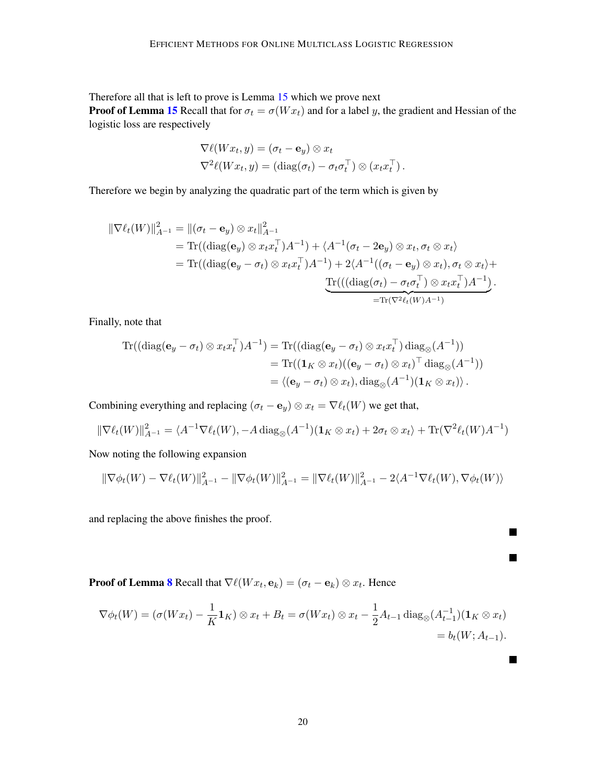Therefore all that is left to prove is Lemma [15](#page-18-0) which we prove next **Proof of Lemma [15](#page-18-0)** Recall that for  $\sigma_t = \sigma(W x_t)$  and for a label y, the gradient and Hessian of the

logistic loss are respectively

$$
\nabla \ell(Wx_t, y) = (\sigma_t - \mathbf{e}_y) \otimes x_t
$$
  

$$
\nabla^2 \ell(Wx_t, y) = (\text{diag}(\sigma_t) - \sigma_t \sigma_t^{\top}) \otimes (x_t x_t^{\top}).
$$

Therefore we begin by analyzing the quadratic part of the term which is given by

$$
\|\nabla \ell_t(W)\|_{A^{-1}}^2 = \|(\sigma_t - \mathbf{e}_y) \otimes x_t\|_{A^{-1}}^2
$$
  
= Tr((diag(\mathbf{e}\_y) \otimes x\_t x\_t^\top)A^{-1}) + \langle A^{-1}(\sigma\_t - 2\mathbf{e}\_y) \otimes x\_t, \sigma\_t \otimes x\_t \rangle  
= Tr((diag(\mathbf{e}\_y - \sigma\_t) \otimes x\_t x\_t^\top)A^{-1}) + 2\langle A^{-1}((\sigma\_t - \mathbf{e}\_y) \otimes x\_t), \sigma\_t \otimes x\_t \rangle +  
\nTr(((diag(\sigma\_t) - \sigma\_t \sigma\_t^\top) \otimes x\_t x\_t^\top)A^{-1})  
= Tr(\nabla^2 \ell\_t(W)A^{-1})

Finally, note that

$$
\mathrm{Tr}((\mathrm{diag}(\mathbf{e}_y - \sigma_t) \otimes x_t x_t^\top) A^{-1}) = \mathrm{Tr}((\mathrm{diag}(\mathbf{e}_y - \sigma_t) \otimes x_t x_t^\top) \mathrm{diag}_{\otimes}(A^{-1}))
$$
  
\n
$$
= \mathrm{Tr}((\mathbf{1}_K \otimes x_t)((\mathbf{e}_y - \sigma_t) \otimes x_t)^\top \mathrm{diag}_{\otimes}(A^{-1}))
$$
  
\n
$$
= \langle (\mathbf{e}_y - \sigma_t) \otimes x_t), \mathrm{diag}_{\otimes}(A^{-1})(\mathbf{1}_K \otimes x_t) \rangle.
$$

Combining everything and replacing  $(\sigma_t - \mathbf{e}_y) \otimes x_t = \nabla \ell_t(W)$  we get that,

$$
\|\nabla \ell_t(W)\|_{A^{-1}}^2 = \langle A^{-1} \nabla \ell_t(W), -A \operatorname{diag}_{\otimes}(A^{-1})(\mathbf{1}_K \otimes x_t) + 2\sigma_t \otimes x_t \rangle + \operatorname{Tr}(\nabla^2 \ell_t(W)A^{-1})
$$

Now noting the following expansion

$$
\|\nabla \phi_t(W) - \nabla \ell_t(W)\|_{A^{-1}}^2 - \|\nabla \phi_t(W)\|_{A^{-1}}^2 = \|\nabla \ell_t(W)\|_{A^{-1}}^2 - 2\langle A^{-1} \nabla \ell_t(W), \nabla \phi_t(W)\rangle
$$

П

 $\blacksquare$ 

 $\blacksquare$ 

and replacing the above finishes the proof.

**Proof of Lemma [8](#page-6-3)** Recall that  $\nabla \ell(W x_t, \mathbf{e}_k) = (\sigma_t - \mathbf{e}_k) \otimes x_t$ . Hence

$$
\nabla \phi_t(W) = (\sigma(Wx_t) - \frac{1}{K} \mathbf{1}_K) \otimes x_t + B_t = \sigma(Wx_t) \otimes x_t - \frac{1}{2} A_{t-1} \operatorname{diag}_{\otimes} (A_{t-1}^{-1}) (\mathbf{1}_K \otimes x_t)
$$
  
=  $b_t(W; A_{t-1}).$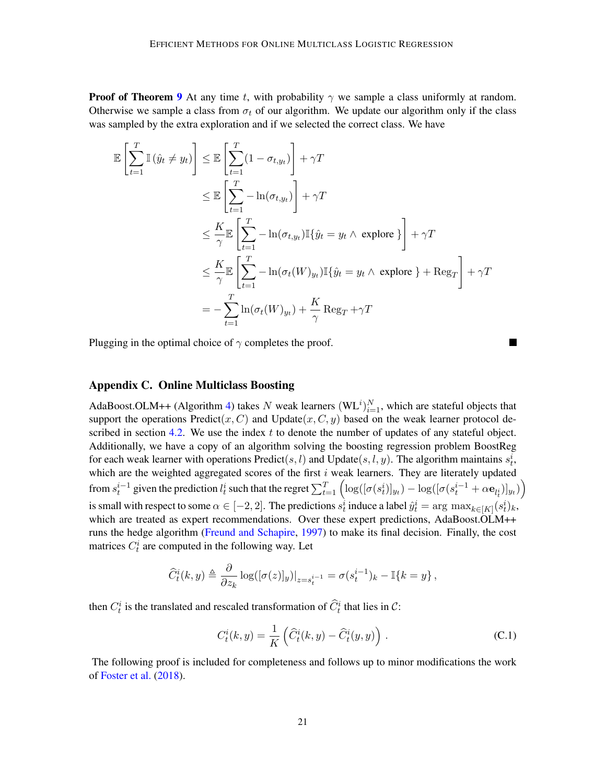**Proof of Theorem [9](#page-8-0)** At any time t, with probability  $\gamma$  we sample a class uniformly at random. Otherwise we sample a class from  $\sigma_t$  of our algorithm. We update our algorithm only if the class was sampled by the extra exploration and if we selected the correct class. We have

$$
\mathbb{E}\left[\sum_{t=1}^{T} \mathbb{I}\left(\hat{y}_{t} \neq y_{t}\right)\right] \leq \mathbb{E}\left[\sum_{t=1}^{T} (1-\sigma_{t,y_{t}})\right] + \gamma T
$$
\n
$$
\leq \mathbb{E}\left[\sum_{t=1}^{T} -\ln(\sigma_{t,y_{t}})\right] + \gamma T
$$
\n
$$
\leq \frac{K}{\gamma} \mathbb{E}\left[\sum_{t=1}^{T} -\ln(\sigma_{t,y_{t}}) \mathbb{I}\left\{\hat{y}_{t} = y_{t} \land \text{ explore}\right\}\right] + \gamma T
$$
\n
$$
\leq \frac{K}{\gamma} \mathbb{E}\left[\sum_{t=1}^{T} -\ln(\sigma_{t}(W)_{y_{t}}) \mathbb{I}\left\{\hat{y}_{t} = y_{t} \land \text{ explore}\right\} + \text{Reg}_{T}\right] + \gamma T
$$
\n
$$
= -\sum_{t=1}^{T} \ln(\sigma_{t}(W)_{y_{t}}) + \frac{K}{\gamma} \text{Reg}_{T} + \gamma T
$$

Plugging in the optimal choice of  $\gamma$  completes the proof.

#### <span id="page-20-0"></span>Appendix C. Online Multiclass Boosting

AdaBoost.OLM++ (Algorithm [4\)](#page-21-0) takes N weak learners  $(WL^{i})_{i=1}^{N}$ , which are stateful objects that support the operations  $Predict(x, C)$  and  $Update(x, C, y)$  based on the weak learner protocol de-scribed in section [4.2.](#page-9-1) We use the index  $t$  to denote the number of updates of any stateful object. Additionally, we have a copy of an algorithm solving the boosting regression problem BoostReg for each weak learner with operations  $Predict(s, l)$  and  $Update(s, l, y)$ . The algorithm maintains  $s_t^i$ , which are the weighted aggregated scores of the first  $i$  weak learners. They are literately updated from  $s_t^{i-1}$  given the prediction  $l_t^i$  such that the regret  $\sum_{t=1}^T \left( \log([\sigma(s_t^i)]_{y_t}) - \log([\sigma(s_t^{i-1} + \alpha \mathbf{e}_{l_t^i})]_{y_t}) \right)$ is small with respect to some  $\alpha \in [-2,2]$ . The predictions  $s_t^i$  induce a label  $\hat{y}_t^i = \arg \max_{k \in [K]} (s_t^i)_k$ , which are treated as expert recommendations. Over these expert predictions, AdaBoost.OLM++ runs the hedge algorithm [\(Freund and Schapire,](#page-13-13) [1997\)](#page-13-13) to make its final decision. Finally, the cost matrices  $C_t^i$  are computed in the following way. Let

$$
\widehat{C}_t^i(k,y) \triangleq \frac{\partial}{\partial z_k} \log([\sigma(z)]_y)|_{z=s_t^{i-1}} = \sigma(s_t^{i-1})_k - \mathbb{I}\{k=y\},\,
$$

then  $C_t^i$  is the translated and rescaled transformation of  $\hat{C}_t^i$  that lies in  $\mathcal{C}$ :

<span id="page-20-1"></span>
$$
C_t^i(k, y) = \frac{1}{K} \left( \widehat{C}_t^i(k, y) - \widehat{C}_t^i(y, y) \right).
$$
 (C.1)

The following proof is included for completeness and follows up to minor modifications the work of [Foster et al.](#page-13-0) [\(2018\)](#page-13-0).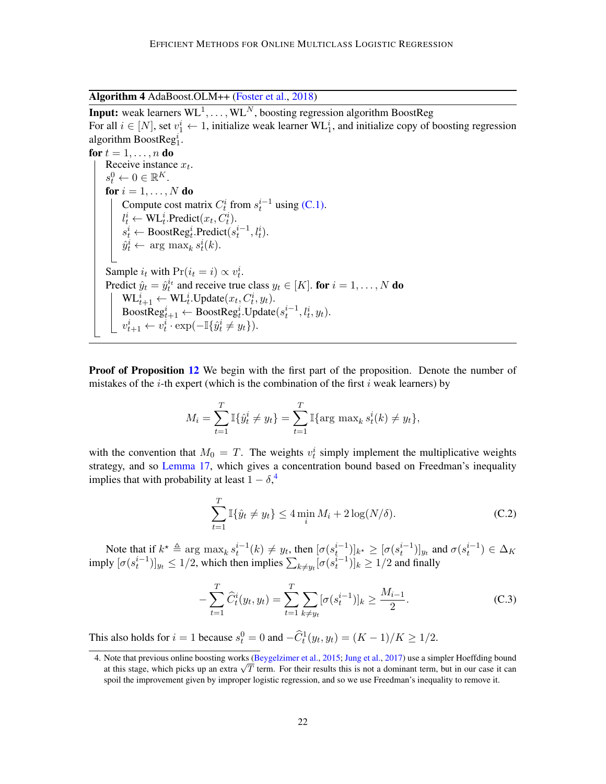Algorithm 4 AdaBoost.OLM++ [\(Foster et al.,](#page-13-0) [2018\)](#page-13-0)

<span id="page-21-0"></span>**Input:** weak learners  $WL^1, \ldots, WL^N$ , boosting regression algorithm BoostReg For all  $i \in [N]$ , set  $v_1^i \leftarrow 1$ , initialize weak learner WL<sup>i</sup><sub>1</sub>, and initialize copy of boosting regression algorithm BoostReg<sup>i</sup><sub>1</sub>.

for  $t = 1, \ldots, n$  do Receive instance  $x_t$ .  $s_t^0 \leftarrow 0 \in \mathbb{R}^K$ . for  $i = 1, \ldots, N$  do Compute cost matrix  $C_t^i$  from  $s_t^{i-1}$  using [\(C.1\).](#page-20-1)  $l_t^i \leftarrow \text{WL}_t^i$ . Predict $(x_t, C_t^i)$ .  $s_t^i \leftarrow \text{BoostReg}_t^i$ . Predict $(s_t^{i-1}, l_t^i)$ .  $\hat{y}_t^i \leftarrow \arg \max_k s_t^i(k).$ Sample  $i_t$  with  $Pr(i_t = i) \propto v_t^i$ . Predict  $\hat{y}_t = \hat{y}_t^{i_t}$  and receive true class  $y_t \in [K]$ . for  $i = 1, ..., N$  do  $\mathrm{WL}_{t+1}^i \leftarrow \mathrm{WL}_{t}^i.\mathrm{Update}(x_t, C_t^i, y_t).$  $\text{BoostReg}_{t+1}^i \leftarrow \text{BoostReg}_t^i.\text{Update}(s_t^{i-1}, l_t^i, y_t).$  $v_{t+1}^i \leftarrow v_t^i \cdot \exp(-\mathbb{I}\{\hat{y}_t^i \neq y_t\}).$ 

**Proof of Proposition [12](#page-11-3)** We begin with the first part of the proposition. Denote the number of mistakes of the *i*-th expert (which is the combination of the first i weak learners) by

$$
M_i = \sum_{t=1}^T \mathbb{I}\{\hat{y}_t^i \neq y_t\} = \sum_{t=1}^T \mathbb{I}\{\arg \max_k s_t^i(k) \neq y_t\},\
$$

with the convention that  $M_0 = T$ . The weights  $v_t^i$  simply implement the multiplicative weights strategy, and so [Lemma 17,](#page-24-0) which gives a concentration bound based on Freedman's inequality implies that with probability at least  $1 - \delta$ ,<sup>[4](#page-21-1)</sup>

<span id="page-21-3"></span>
$$
\sum_{t=1}^{T} \mathbb{I}\{\hat{y}_t \neq y_t\} \le 4 \min_i M_i + 2 \log(N/\delta). \tag{C.2}
$$

Note that if  $k^* \triangleq \arg \max_k s_t^{i-1}(k) \neq y_t$ , then  $[\sigma(s_t^{i-1})]_{k^*} \geq [\sigma(s_t^{i-1})]_{y_t}$  and  $\sigma(s_t^{i-1}) \in \Delta_K$ imply  $[\sigma(s_t^{i-1})]_{y_t} \le 1/2$ , which then implies  $\sum_{k \neq y_t} [\sigma(s_t^{i-1})]_k \ge 1/2$  and finally

<span id="page-21-2"></span>
$$
-\sum_{t=1}^{T} \widehat{C}_{t}^{i}(y_{t}, y_{t}) = \sum_{t=1}^{T} \sum_{k \neq y_{t}} [\sigma(s_{t}^{i-1})]_{k} \geq \frac{M_{i-1}}{2}.
$$
 (C.3)

This also holds for  $i = 1$  because  $s_t^0 = 0$  and  $-\widehat{C}_t^1(y_t, y_t) = (K - 1)/K \ge 1/2$ .

<span id="page-21-1"></span><sup>4.</sup> Note that previous online boosting works [\(Beygelzimer et al.,](#page-13-11) [2015;](#page-13-11) [Jung et al.,](#page-13-10) [2017\)](#page-13-10) use a simpler Hoeffding bound Note that previous online boosting works (Beygelzimer et al., 2015; Jung et al., 2017) use a simpler Hoeffulng bound at this stage, which picks up an extra  $\sqrt{T}$  term. For their results this is not a dominant term, but i spoil the improvement given by improper logistic regression, and so we use Freedman's inequality to remove it.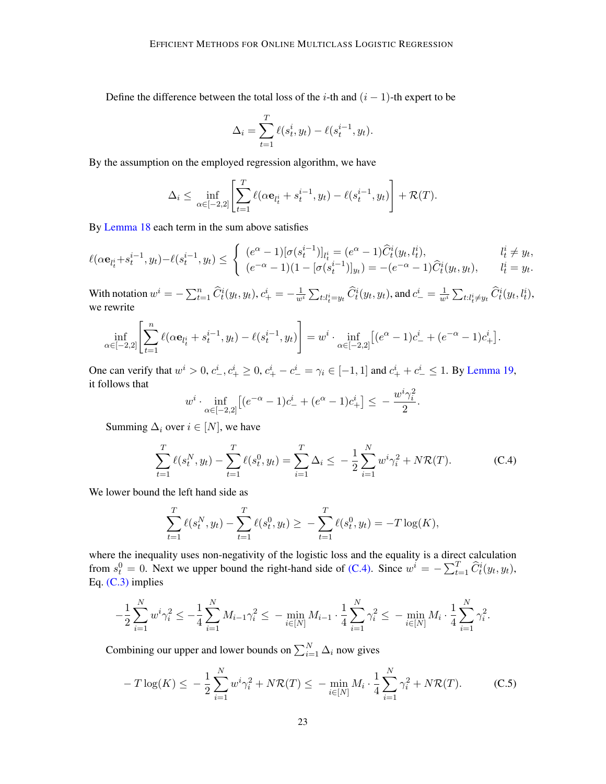Define the difference between the total loss of the *i*-th and  $(i - 1)$ -th expert to be

$$
\Delta_i = \sum_{t=1}^T \ell(s_t^i, y_t) - \ell(s_t^{i-1}, y_t).
$$

By the assumption on the employed regression algorithm, we have

$$
\Delta_i \leq \inf_{\alpha \in [-2,2]} \left[ \sum_{t=1}^T \ell(\alpha \mathbf{e}_{l_t^i} + s_t^{i-1}, y_t) - \ell(s_t^{i-1}, y_t) \right] + \mathcal{R}(T).
$$

By [Lemma 18](#page-24-1) each term in the sum above satisfies

$$
\ell(\alpha \mathbf{e}_{l_t^i} + s_t^{i-1}, y_t) - \ell(s_t^{i-1}, y_t) \leq \begin{cases} (e^{\alpha} - 1)[\sigma(s_t^{i-1})]_{l_t^i} = (e^{\alpha} - 1)\widehat{C}_t^i(y_t, l_t^i), & l_t^i \neq y_t, \\ (e^{-\alpha} - 1)(1 - [\sigma(s_t^{i-1})]_{y_t}) = -(e^{-\alpha} - 1)\widehat{C}_t^i(y_t, y_t), & l_t^i = y_t. \end{cases}
$$

With notation  $w^i = -\sum_{t=1}^n \widehat{C}_t^i(y_t, y_t), c_+^i = -\frac{1}{w^i} \sum_{t:l_t^i = y_t} \widehat{C}_t^i(y_t, y_t)$ , and  $c_-^i = \frac{1}{w^i} \sum_{t:l_t^i \neq y_t} \widehat{C}_t^i(y_t, l_t^i)$ , we rewrite

$$
\inf_{\alpha \in [-2,2]} \left[ \sum_{t=1}^n \ell(\alpha \mathbf{e}_{l_t^i} + s_t^{i-1}, y_t) - \ell(s_t^{i-1}, y_t) \right] = w^i \cdot \inf_{\alpha \in [-2,2]} \left[ (e^{\alpha} - 1)c_+^i + (e^{-\alpha} - 1)c_+^i \right].
$$

One can verify that  $w^i > 0$ ,  $c^i_-, c^i_+ \ge 0$ ,  $c^i_+ - c^i_- = \gamma_i \in [-1, 1]$  and  $c^i_+ + c^i_- \le 1$ . By [Lemma 19,](#page-24-2) it follows that

$$
w^{i} \cdot \inf_{\alpha \in [-2,2]} \left[ (e^{-\alpha} - 1)c_{-}^{i} + (e^{\alpha} - 1)c_{+}^{i} \right] \leq -\frac{w^{i}\gamma_{i}^{2}}{2}.
$$

Summing  $\Delta_i$  over  $i \in [N]$ , we have

<span id="page-22-0"></span>
$$
\sum_{t=1}^{T} \ell(s_t^N, y_t) - \sum_{t=1}^{T} \ell(s_t^0, y_t) = \sum_{i=1}^{T} \Delta_i \le -\frac{1}{2} \sum_{i=1}^{N} w^i \gamma_i^2 + N \mathcal{R}(T). \tag{C.4}
$$

We lower bound the left hand side as

$$
\sum_{t=1}^T \ell(s_t^N, y_t) - \sum_{t=1}^T \ell(s_t^0, y_t) \ge - \sum_{t=1}^T \ell(s_t^0, y_t) = -T \log(K),
$$

where the inequality uses non-negativity of the logistic loss and the equality is a direct calculation from  $s_t^0 = 0$ . Next we upper bound the right-hand side of [\(C.4\).](#page-22-0) Since  $w^i = -\sum_{t=1}^T \hat{C}_t^i(y_t, y_t)$ , Eq. [\(C.3\)](#page-21-2) implies

$$
-\frac{1}{2}\sum_{i=1}^N w^i \gamma_i^2 \le -\frac{1}{4}\sum_{i=1}^N M_{i-1} \gamma_i^2 \le -\min_{i\in[N]} M_{i-1} \cdot \frac{1}{4}\sum_{i=1}^N \gamma_i^2 \le -\min_{i\in[N]} M_i \cdot \frac{1}{4}\sum_{i=1}^N \gamma_i^2.
$$

Combining our upper and lower bounds on  $\sum_{i=1}^{N} \Delta_i$  now gives

<span id="page-22-1"></span>
$$
-T\log(K) \le -\frac{1}{2}\sum_{i=1}^{N} w^i \gamma_i^2 + N\mathcal{R}(T) \le -\min_{i \in [N]} M_i \cdot \frac{1}{4} \sum_{i=1}^{N} \gamma_i^2 + N\mathcal{R}(T). \tag{C.5}
$$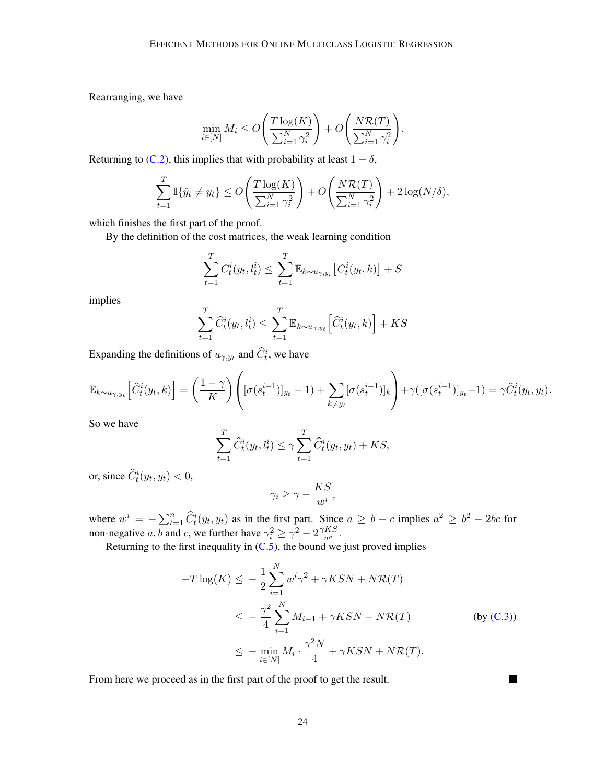Rearranging, we have

$$
\min_{i \in [N]} M_i \le O\left(\frac{T \log(K)}{\sum_{i=1}^N \gamma_i^2}\right) + O\left(\frac{N\mathcal{R}(T)}{\sum_{i=1}^N \gamma_i^2}\right).
$$

Returning to [\(C.2\),](#page-21-3) this implies that with probability at least  $1 - \delta$ ,

$$
\sum_{t=1}^T \mathbb{I}\{\hat{y}_t \neq y_t\} \le O\left(\frac{T \log(K)}{\sum_{i=1}^N \gamma_i^2}\right) + O\left(\frac{N\mathcal{R}(T)}{\sum_{i=1}^N \gamma_i^2}\right) + 2\log(N/\delta),
$$

which finishes the first part of the proof.

By the definition of the cost matrices, the weak learning condition

$$
\sum_{t=1}^{T} C_t^i(y_t, l_t^i) \le \sum_{t=1}^{T} \mathbb{E}_{k \sim u_{\gamma, y_t}} \left[ C_t^i(y_t, k) \right] + S
$$

implies

$$
\sum_{t=1}^{T} \widehat{C}_{t}^{i}(y_{t}, l_{t}^{i}) \leq \sum_{t=1}^{T} \mathbb{E}_{k \sim u_{\gamma, y_{t}}} \left[ \widehat{C}_{t}^{i}(y_{t}, k) \right] + KS
$$

Expanding the definitions of  $u_{\gamma, y_t}$  and  $\hat{C}_t^i$ , we have

$$
\mathbb{E}_{k \sim u_{\gamma, y_t}} \left[ \widehat{C}_t^i(y_t, k) \right] = \left( \frac{1 - \gamma}{K} \right) \left( [\sigma(s_t^{i-1})]_{y_t} - 1 \right) + \sum_{k \neq y_t} [\sigma(s_t^{i-1})]_k \right) + \gamma([\sigma(s_t^{i-1})]_{y_t} - 1) = \gamma \widehat{C}_t^i(y_t, y_t).
$$

So we have

$$
\sum_{t=1}^T \widehat{C}_t^i(y_t, l_t^i) \le \gamma \sum_{t=1}^T \widehat{C}_t^i(y_t, y_t) + KS,
$$

or, since  $\widehat{C}_t^i(y_t, y_t) < 0$ ,

$$
\gamma_i \ge \gamma - \frac{KS}{w^i},
$$

where  $w^i = -\sum_{t=1}^n \widehat{C}_t^i(y_t, y_t)$  as in the first part. Since  $a \geq b - c$  implies  $a^2 \geq b^2 - 2bc$  for non-negative *a*, *b* and *c*, we further have  $\gamma_i^2 \ge \gamma^2 - 2 \frac{\gamma K S}{w^i}$  $\frac{KS}{w^i}$ .

Returning to the first inequality in  $(C.5)$ , the bound we just proved implies

$$
-T \log(K) \leq -\frac{1}{2} \sum_{i=1}^{N} w^{i} \gamma^{2} + \gamma K S N + N \mathcal{R}(T)
$$
  

$$
\leq -\frac{\gamma^{2}}{4} \sum_{i=1}^{N} M_{i-1} + \gamma K S N + N \mathcal{R}(T)
$$
 (by (C.3))  

$$
\leq -\min_{i \in [N]} M_{i} \cdot \frac{\gamma^{2} N}{4} + \gamma K S N + N \mathcal{R}(T).
$$

П

From here we proceed as in the first part of the proof to get the result.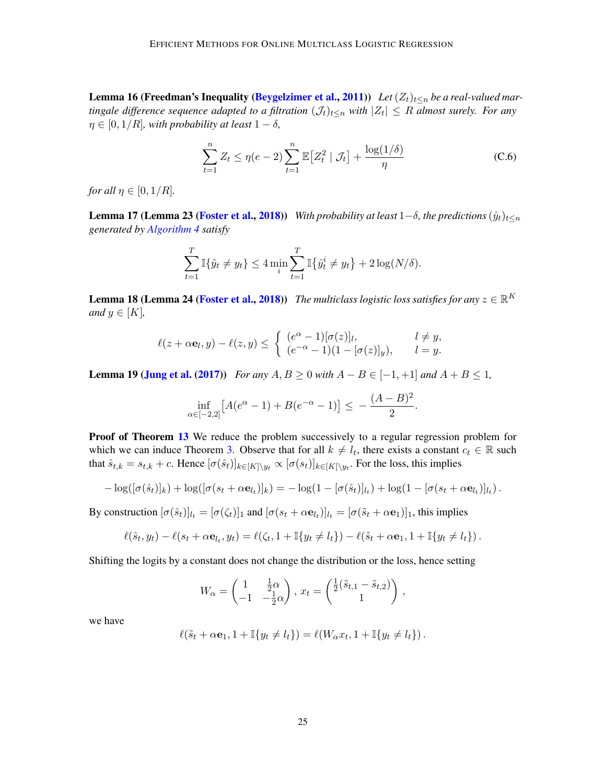**Lemma 16 (Freedman's Inequality [\(Beygelzimer et al.,](#page-12-3) [2011\)](#page-12-3))** Let  $(Z_t)_{t \le n}$  be a real-valued mar*tingale difference sequence adapted to a filtration*  $(\mathcal{J}_t)_{t \leq n}$  *with*  $|Z_t| \leq R$  *almost surely. For any*  $\eta \in [0, 1/R]$ *, with probability at least*  $1 - \delta$ *,* 

$$
\sum_{t=1}^{n} Z_t \le \eta(e-2) \sum_{t=1}^{n} \mathbb{E}\left[Z_t^2 \mid \mathcal{J}_t\right] + \frac{\log(1/\delta)}{\eta} \tag{C.6}
$$

*for all*  $\eta \in [0, 1/R]$ *.* 

<span id="page-24-0"></span>**Lemma 17 (Lemma 23 [\(Foster et al.,](#page-13-0) [2018\)](#page-13-0))** *With probability at least*  $1-\delta$ *, the predictions*  $(\hat{y}_t)_{t\leq n}$ *generated by [Algorithm 4](#page-21-0) satisfy*

$$
\sum_{t=1}^{T} \mathbb{I}\{\hat{y}_t \neq y_t\} \le 4 \min_{i} \sum_{t=1}^{T} \mathbb{I}\{\hat{y}_t^i \neq y_t\} + 2 \log(N/\delta).
$$

<span id="page-24-1"></span>**Lemma 18 (Lemma 24 [\(Foster et al.,](#page-13-0) [2018\)](#page-13-0))** *The multiclass logistic loss satisfies for any*  $z \in \mathbb{R}^K$ *and*  $y \in [K]$ ,

$$
\ell(z+\alpha \mathbf{e}_l, y) - \ell(z, y) \leq \begin{cases} (e^{\alpha} - 1)[\sigma(z)]_l, & l \neq y, \\ (e^{-\alpha} - 1)(1 - [\sigma(z)]_y), & l = y. \end{cases}
$$

<span id="page-24-2"></span>**Lemma 19 [\(Jung et al.](#page-13-10) [\(2017\)](#page-13-10))** *For any*  $A, B ≥ 0$  *with*  $A − B ∈ [-1, +1]$  *and*  $A + B ≤ 1$ *,* 

$$
\inf_{\alpha \in [-2,2]} \left[ A(e^{\alpha} - 1) + B(e^{-\alpha} - 1) \right] \le -\frac{(A - B)^2}{2}.
$$

Proof of Theorem [13](#page-11-2) We reduce the problem successively to a regular regression problem for which we can induce Theorem [3.](#page-4-2) Observe that for all  $k \neq l_t$ , there exists a constant  $c_t \in \mathbb{R}$  such that  $\hat{s}_{t,k} = s_{t,k} + c$ . Hence  $[\sigma(\hat{s}_t)]_{k \in [K] \setminus y_t} \propto [\sigma(s_t)]_{k \in [K] \setminus y_t}$ . For the loss, this implies

$$
-\log([\sigma(\hat{s}_t)]_k)+\log([\sigma(s_t+\alpha \mathbf{e}_{l_t})]_k)=-\log(1-[\sigma(\hat{s}_t)]_{l_t})+\log(1-[\sigma(s_t+\alpha \mathbf{e}_{l_t})]_{l_t}).
$$

By construction  $[\sigma(\hat{s}_t)]_{lt} = [\sigma(\zeta_t)]_1$  and  $[\sigma(s_t + \alpha \mathbf{e}_{lt})]_{lt} = [\sigma(\tilde{s}_t + \alpha \mathbf{e}_1)]_1$ , this implies

$$
\ell(\hat{s}_t, y_t) - \ell(s_t + \alpha \mathbf{e}_{l_t}, y_t) = \ell(\zeta_t, 1 + \mathbb{I}\{y_t \neq l_t\}) - \ell(\tilde{s}_t + \alpha \mathbf{e}_1, 1 + \mathbb{I}\{y_t \neq l_t\}).
$$

Shifting the logits by a constant does not change the distribution or the loss, hence setting

$$
W_{\alpha} = \begin{pmatrix} 1 & \frac{1}{2}\alpha \\ -1 & -\frac{1}{2}\alpha \end{pmatrix}, x_t = \begin{pmatrix} \frac{1}{2}(\tilde{s}_{t,1} - \tilde{s}_{t,2}) \\ 1 \end{pmatrix},
$$

we have

$$
\ell(\tilde{s}_t + \alpha \mathbf{e}_1, 1 + \mathbb{I}{y_t \neq l_t}) = \ell(W_{\alpha} x_t, 1 + \mathbb{I}{y_t \neq l_t}).
$$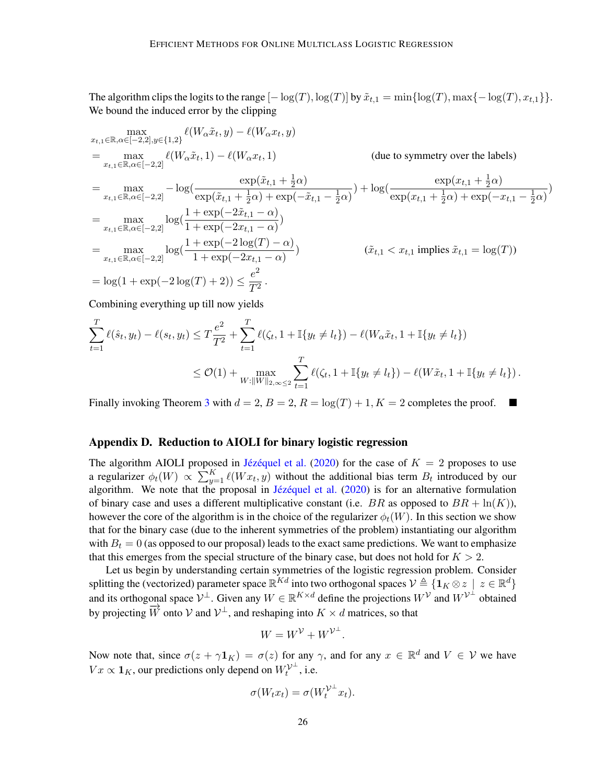The algorithm clips the logits to the range  $[-\log(T), \log(T)]$  by  $\tilde{x}_{t,1} = \min\{\log(T), \max\{-\log(T), x_{t,1}\}\}.$ We bound the induced error by the clipping

$$
\max_{x_{t,1} \in \mathbb{R}, \alpha \in [-2,2], y \in \{1,2\}} \ell(W_{\alpha} \tilde{x}_{t}, y) - \ell(W_{\alpha} x_{t}, y)
$$
\n
$$
= \max_{x_{t,1} \in \mathbb{R}, \alpha \in [-2,2]} \ell(W_{\alpha} \tilde{x}_{t}, 1) - \ell(W_{\alpha} x_{t}, 1) \qquad \text{(due to symmetry over the labels)}
$$
\n
$$
= \max_{x_{t,1} \in \mathbb{R}, \alpha \in [-2,2]} -\log(\frac{\exp(\tilde{x}_{t,1} + \frac{1}{2}\alpha)}{\exp(\tilde{x}_{t,1} + \frac{1}{2}\alpha) + \exp(-\tilde{x}_{t,1} - \frac{1}{2}\alpha)}) + \log(\frac{\exp(x_{t,1} + \frac{1}{2}\alpha)}{\exp(x_{t,1} + \frac{1}{2}\alpha) + \exp(-x_{t,1} - \frac{1}{2}\alpha)})
$$
\n
$$
= \max_{x_{t,1} \in \mathbb{R}, \alpha \in [-2,2]} \log(\frac{1 + \exp(-2\tilde{x}_{t,1} - \alpha)}{1 + \exp(-2x_{t,1} - \alpha)})
$$
\n
$$
= \max_{x_{t,1} \in \mathbb{R}, \alpha \in [-2,2]} \log(\frac{1 + \exp(-2\log(T) - \alpha)}{1 + \exp(-2x_{t,1} - \alpha)}) \qquad (\tilde{x}_{t,1} < x_{t,1} \text{ implies } \tilde{x}_{t,1} = \log(T))
$$
\n
$$
= \log(1 + \exp(-2\log(T) + 2)) \le \frac{e^2}{T^2}.
$$

Combining everything up till now yields

$$
\sum_{t=1}^{T} \ell(\hat{s}_t, y_t) - \ell(s_t, y_t) \le T \frac{e^2}{T^2} + \sum_{t=1}^{T} \ell(\zeta_t, 1 + \mathbb{I}\{y_t \ne l_t\}) - \ell(W_\alpha \tilde{x}_t, 1 + \mathbb{I}\{y_t \ne l_t\})
$$
\n
$$
\le O(1) + \max_{W: ||W||_{2,\infty} \le 2} \sum_{t=1}^{T} \ell(\zeta_t, 1 + \mathbb{I}\{y_t \ne l_t\}) - \ell(W\tilde{x}_t, 1 + \mathbb{I}\{y_t \ne l_t\}).
$$

Finally invoking Theorem [3](#page-4-2) with  $d = 2$ ,  $B = 2$ ,  $R = \log(T) + 1$ ,  $K = 2$  completes the proof. **Contract** 

#### <span id="page-25-0"></span>Appendix D. Reduction to AIOLI for binary logistic regression

The algorithm AIOLI proposed in Jézéquel et al. [\(2020\)](#page-13-4) for the case of  $K = 2$  proposes to use a regularizer  $\phi_t(W) \propto \sum_{y=1}^K \ell(Wx_t, y)$  without the additional bias term  $B_t$  introduced by our algorithm. We note that the proposal in Jézéquel et al. [\(2020\)](#page-13-4) is for an alternative formulation of binary case and uses a different multiplicative constant (i.e. BR as opposed to  $BR + \ln(K)$ ), however the core of the algorithm is in the choice of the regularizer  $\phi_t(W)$ . In this section we show that for the binary case (due to the inherent symmetries of the problem) instantiating our algorithm with  $B_t = 0$  (as opposed to our proposal) leads to the exact same predictions. We want to emphasize that this emerges from the special structure of the binary case, but does not hold for  $K > 2$ .

Let us begin by understanding certain symmetries of the logistic regression problem. Consider splitting the (vectorized) parameter space  $\mathbb{R}^{Kd}$  into two orthogonal spaces  $\mathcal{V} \triangleq \{ \mathbf{1}_K \otimes z \mid z \in \mathbb{R}^d \}$ and its orthogonal space  $V^{\perp}$ . Given any  $W \in \mathbb{R}^{K \times d}$  define the projections  $W^{\mathcal{V}}$  and  $W^{\mathcal{V}^{\perp}}$  obtained by projecting  $\overrightarrow{W}$  onto  $V$  and  $V^{\perp}$ , and reshaping into  $K \times d$  matrices, so that

$$
W = W^{\mathcal{V}} + W^{\mathcal{V}^{\perp}}.
$$

Now note that, since  $\sigma(z + \gamma \mathbf{1}_K) = \sigma(z)$  for any  $\gamma$ , and for any  $x \in \mathbb{R}^d$  and  $V \in \mathcal{V}$  we have  $Vx \propto \mathbf{1}_K$ , our predictions only depend on  $W_t^{\mathcal{V}^{\perp}}$ , i.e.

$$
\sigma(W_t x_t) = \sigma(W_t^{\mathcal{V}^\perp} x_t).
$$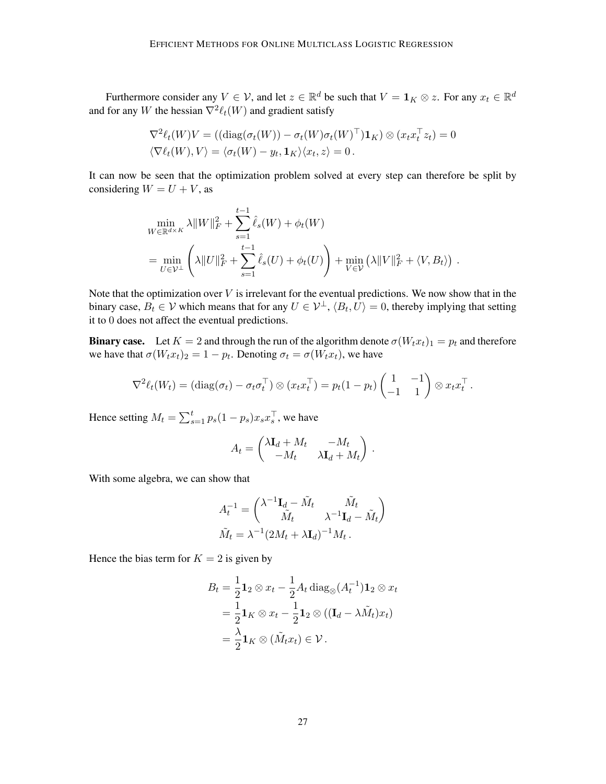Furthermore consider any  $V \in \mathcal{V}$ , and let  $z \in \mathbb{R}^d$  be such that  $V = \mathbf{1}_K \otimes z$ . For any  $x_t \in \mathbb{R}^d$ and for any W the hessian  $\nabla^2 \ell_t(W)$  and gradient satisfy

$$
\nabla^2 \ell_t(W)V = ((\text{diag}(\sigma_t(W)) - \sigma_t(W)\sigma_t(W)^{\top})\mathbf{1}_K) \otimes (x_t x_t^{\top} z_t) = 0
$$
  

$$
\langle \nabla \ell_t(W), V \rangle = \langle \sigma_t(W) - y_t, \mathbf{1}_K \rangle \langle x_t, z \rangle = 0.
$$

It can now be seen that the optimization problem solved at every step can therefore be split by considering  $W = U + V$ , as

$$
\min_{W \in \mathbb{R}^{d \times K}} \lambda \|W\|_F^2 + \sum_{s=1}^{t-1} \hat{\ell}_s(W) + \phi_t(W)
$$
  
= 
$$
\min_{U \in \mathcal{V}^\perp} \left( \lambda \|U\|_F^2 + \sum_{s=1}^{t-1} \hat{\ell}_s(U) + \phi_t(U) \right) + \min_{V \in \mathcal{V}} (\lambda \|V\|_F^2 + \langle V, B_t \rangle) .
$$

Note that the optimization over  $V$  is irrelevant for the eventual predictions. We now show that in the binary case,  $B_t \in V$  which means that for any  $U \in V^{\perp}$ ,  $\langle B_t, U \rangle = 0$ , thereby implying that setting it to 0 does not affect the eventual predictions.

**Binary case.** Let  $K = 2$  and through the run of the algorithm denote  $\sigma(W_t x_t)_1 = p_t$  and therefore we have that  $\sigma(W_t x_t)_2 = 1 - p_t$ . Denoting  $\sigma_t = \sigma(W_t x_t)$ , we have

$$
\nabla^2 \ell_t(W_t) = (\mathrm{diag}(\sigma_t) - \sigma_t \sigma_t^{\top}) \otimes (x_t x_t^{\top}) = p_t (1 - p_t) \begin{pmatrix} 1 & -1 \\ -1 & 1 \end{pmatrix} \otimes x_t x_t^{\top}.
$$

Hence setting  $M_t = \sum_{s=1}^t p_s (1 - p_s) x_s x_s^\top$ , we have

$$
A_t = \begin{pmatrix} \lambda \mathbf{I}_d + M_t & -M_t \\ -M_t & \lambda \mathbf{I}_d + M_t \end{pmatrix}.
$$

With some algebra, we can show that

$$
A_t^{-1} = \begin{pmatrix} \lambda^{-1} \mathbf{I}_d - \tilde{M}_t & \tilde{M}_t \\ \tilde{M}_t & \lambda^{-1} \mathbf{I}_d - \tilde{M}_t \end{pmatrix}
$$

$$
\tilde{M}_t = \lambda^{-1} (2M_t + \lambda \mathbf{I}_d)^{-1} M_t.
$$

Hence the bias term for  $K = 2$  is given by

$$
B_t = \frac{1}{2} \mathbf{1}_2 \otimes x_t - \frac{1}{2} A_t \operatorname{diag}_{\otimes} (A_t^{-1}) \mathbf{1}_2 \otimes x_t
$$
  
= 
$$
\frac{1}{2} \mathbf{1}_K \otimes x_t - \frac{1}{2} \mathbf{1}_2 \otimes ((\mathbf{I}_d - \lambda \tilde{M}_t) x_t)
$$
  
= 
$$
\frac{\lambda}{2} \mathbf{1}_K \otimes (\tilde{M}_t x_t) \in \mathcal{V}.
$$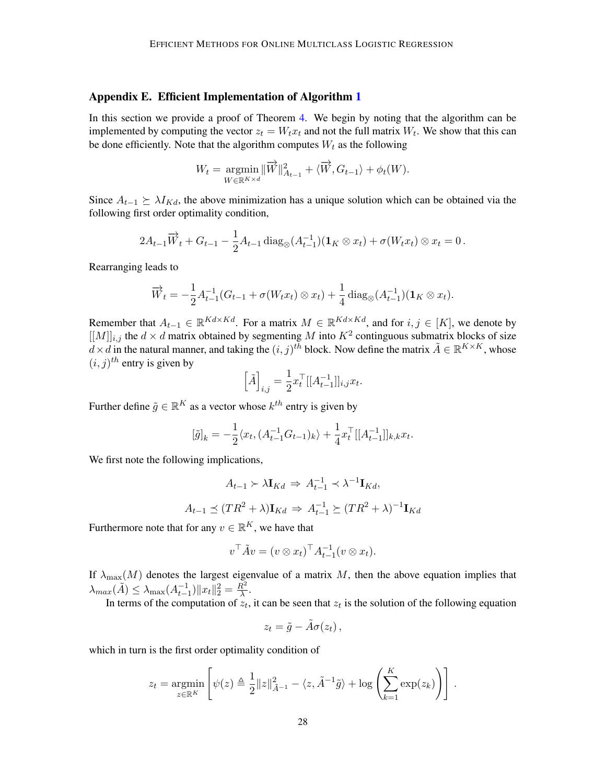### <span id="page-27-0"></span>Appendix E. Efficient Implementation of Algorithm [1](#page-5-0)

In this section we provide a proof of Theorem [4.](#page-5-2) We begin by noting that the algorithm can be implemented by computing the vector  $z_t = W_t x_t$  and not the full matrix  $W_t$ . We show that this can be done efficiently. Note that the algorithm computes  $W_t$  as the following

$$
W_t = \underset{W \in \mathbb{R}^{K \times d}}{\operatorname{argmin}} \|\overrightarrow{W}\|_{A_{t-1}}^2 + \langle \overrightarrow{W}, G_{t-1} \rangle + \phi_t(W).
$$

Since  $A_{t-1} \succeq \lambda I_{Kd}$ , the above minimization has a unique solution which can be obtained via the following first order optimality condition,

$$
2A_{t-1}\overrightarrow{W}_t + G_{t-1} - \frac{1}{2}A_{t-1}\operatorname{diag}_{\otimes}(A_{t-1}^{-1})(\mathbf{1}_K \otimes x_t) + \sigma(W_t x_t) \otimes x_t = 0.
$$

Rearranging leads to

$$
\overrightarrow{W}_t = -\frac{1}{2}A_{t-1}^{-1}(G_{t-1} + \sigma(W_t x_t) \otimes x_t) + \frac{1}{4}\operatorname{diag}_{\otimes}(A_{t-1}^{-1})(\mathbf{1}_K \otimes x_t).
$$

Remember that  $A_{t-1} \in \mathbb{R}^{Kd \times Kd}$ . For a matrix  $M \in \mathbb{R}^{Kd \times Kd}$ , and for  $i, j \in [K]$ , we denote by  $[[M]]_{i,j}$  the  $d \times d$  matrix obtained by segmenting M into  $K^2$  continguous submatrix blocks of size  $\vec{d} \times \vec{d}$  in the natural manner, and taking the  $(i, j)^{t \bar{h}}$  block. Now define the matrix  $\tilde{A} \in \mathbb{R}^{K \times K}$ , whose  $(i, j)$ <sup>th</sup> entry is given by

$$
\Big[\tilde{A}\Big]_{i,j}=\frac{1}{2}x_t^\top[[A_{t-1}^{-1}]]_{i,j}x_t.
$$

Further define  $\tilde{g} \in \mathbb{R}^K$  as a vector whose  $k^{th}$  entry is given by

$$
[\tilde{g}]_k = -\frac{1}{2} \langle x_t, (A_{t-1}^{-1} G_{t-1})_k \rangle + \frac{1}{4} x_t^\top [[A_{t-1}^{-1}]]_{k,k} x_t.
$$

We first note the following implications,

$$
A_{t-1} \succ \lambda \mathbf{I}_{Kd} \Rightarrow A_{t-1}^{-1} \prec \lambda^{-1} \mathbf{I}_{Kd},
$$
  

$$
A_{t-1} \preceq (TR^2 + \lambda) \mathbf{I}_{Kd} \Rightarrow A_{t-1}^{-1} \succeq (TR^2 + \lambda)^{-1} \mathbf{I}_{Kd}
$$

Furthermore note that for any  $v \in \mathbb{R}^K$ , we have that

$$
v^{\top} \tilde{A} v = (v \otimes x_t)^{\top} A_{t-1}^{-1} (v \otimes x_t).
$$

If  $\lambda_{\text{max}}(M)$  denotes the largest eigenvalue of a matrix M, then the above equation implies that  $\lambda_{max}(\tilde{A}) \leq \lambda_{max}(A_{t-1}^{-1}) ||x_t||_2^2 = \frac{R^2}{\lambda}$  $\frac{\tau}{\lambda}$ .

In terms of the computation of  $z_t$ , it can be seen that  $z_t$  is the solution of the following equation

$$
z_t = \tilde{g} - \tilde{A}\sigma(z_t) ,
$$

which in turn is the first order optimality condition of

$$
z_t = \underset{z \in \mathbb{R}^K}{\text{argmin}} \left[ \psi(z) \triangleq \frac{1}{2} ||z||_{\tilde{A}^{-1}}^2 - \langle z, \tilde{A}^{-1}\tilde{g} \rangle + \log \left( \sum_{k=1}^K \exp(z_k) \right) \right].
$$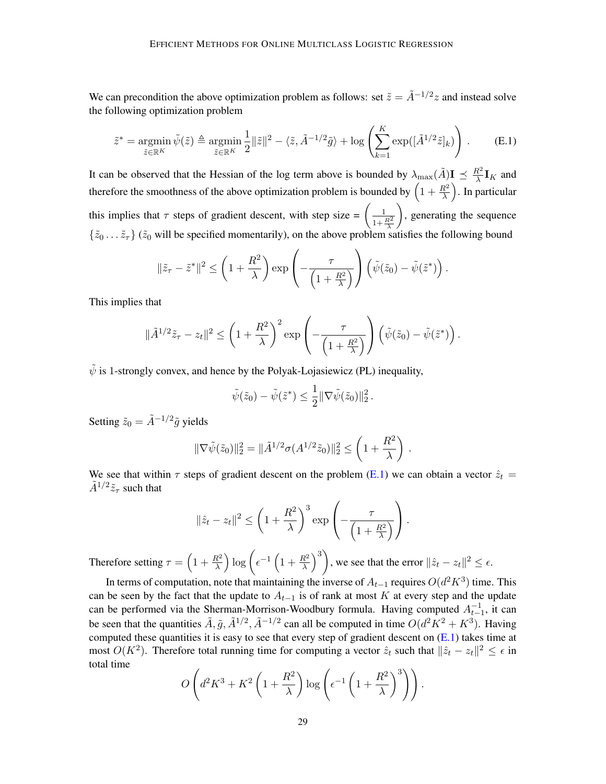We can precondition the above optimization problem as follows: set  $\tilde{z} = \tilde{A}^{-1/2} z$  and instead solve the following optimization problem

<span id="page-28-0"></span>
$$
\tilde{z}^* = \operatorname*{argmin}_{\tilde{z} \in \mathbb{R}^K} \tilde{\psi}(\tilde{z}) \triangleq \operatorname*{argmin}_{\tilde{z} \in \mathbb{R}^K} \frac{1}{2} \|\tilde{z}\|^2 - \langle \tilde{z}, \tilde{A}^{-1/2} \tilde{g} \rangle + \log \left( \sum_{k=1}^K \exp([\tilde{A}^{1/2} \tilde{z}]_k) \right). \tag{E.1}
$$

It can be observed that the Hessian of the log term above is bounded by  $\lambda_{\max}(\tilde{A})\mathbf{I} \preceq \frac{R^2}{\lambda}$  $\frac{\mathcal{X}^2}{\lambda} \mathbf{I}_K$  and therefore the smoothness of the above optimization problem is bounded by  $\left(1+\frac{R^2}{\lambda}\right)$ . In particular this implies that  $\tau$  steps of gradient descent, with step size  $=$   $\left(\frac{1}{1+\frac{R^2}{\lambda}}\right)$ ), generating the sequence  $\{\tilde{z}_0 \dots \tilde{z}_\tau\}$  ( $\tilde{z}_0$  will be specified momentarily), on the above problem satisfies the following bound

$$
\|\tilde{z}_{\tau}-\tilde{z}^*\|^2 \le \left(1+\frac{R^2}{\lambda}\right) \exp\left(-\frac{\tau}{\left(1+\frac{R^2}{\lambda}\right)}\right) \left(\tilde{\psi}(\tilde{z}_0)-\tilde{\psi}(\tilde{z}^*)\right).
$$

This implies that

$$
\|\tilde{A}^{1/2}\tilde{z}_{\tau}-z_{t}\|^{2} \leq \left(1+\frac{R^{2}}{\lambda}\right)^{2} \exp\left(-\frac{\tau}{\left(1+\frac{R^{2}}{\lambda}\right)}\right)\left(\tilde{\psi}(\tilde{z}_{0})-\tilde{\psi}(\tilde{z}^{*})\right).
$$

 $\tilde{\psi}$  is 1-strongly convex, and hence by the Polyak-Lojasiewicz (PL) inequality,

$$
\tilde{\psi}(\tilde{z}_0) - \tilde{\psi}(\tilde{z}^*) \leq \frac{1}{2} \|\nabla \tilde{\psi}(\tilde{z}_0)\|_2^2.
$$

Setting  $\tilde{z}_0 = \tilde{A}^{-1/2} \tilde{g}$  yields

$$
\|\nabla \tilde{\psi}(\tilde{z}_0)\|_2^2 = \|\tilde{A}^{1/2} \sigma(A^{1/2}\tilde{z}_0)\|_2^2 \le \left(1 + \frac{R^2}{\lambda}\right).
$$

We see that within  $\tau$  steps of gradient descent on the problem [\(E.1\)](#page-28-0) we can obtain a vector  $\hat{z}_t$  =  $\tilde{A}^{1/2} \tilde{z}_{\tau}$  such that

$$
\|\hat{z}_t - z_t\|^2 \le \left(1 + \frac{R^2}{\lambda}\right)^3 \exp\left(-\frac{\tau}{\left(1 + \frac{R^2}{\lambda}\right)}\right).
$$

Therefore setting  $\tau = \left(1 + \frac{R^2}{\lambda}\right) \log \left(\epsilon^{-1} \left(1 + \frac{R^2}{\lambda}\right)^3\right)$ , we see that the error  $\|\hat{z}_t - z_t\|^2 \le \epsilon$ .

In terms of computation, note that maintaining the inverse of  $A_{t-1}$  requires  $O(d^2K^3)$  time. This can be seen by the fact that the update to  $A_{t-1}$  is of rank at most K at every step and the update can be performed via the Sherman-Morrison-Woodbury formula. Having computed  $A_{t-1}^{-1}$ , it can be seen that the quantities  $\tilde{A}$ ,  $\tilde{g}$ ,  $\tilde{A}^{1/2}$ ,  $\tilde{A}^{-1/2}$  can all be computed in time  $O(d^2K^2 + K^3)$ . Having computed these quantities it is easy to see that every step of gradient descent on  $(E.1)$  takes time at most  $O(K^2)$ . Therefore total running time for computing a vector  $\hat{z}_t$  such that  $\|\hat{z}_t - z_t\|^2 \leq \epsilon$  in total time

$$
O\left(d^2K^3 + K^2\left(1 + \frac{R^2}{\lambda}\right)\log\left(\epsilon^{-1}\left(1 + \frac{R^2}{\lambda}\right)^3\right)\right).
$$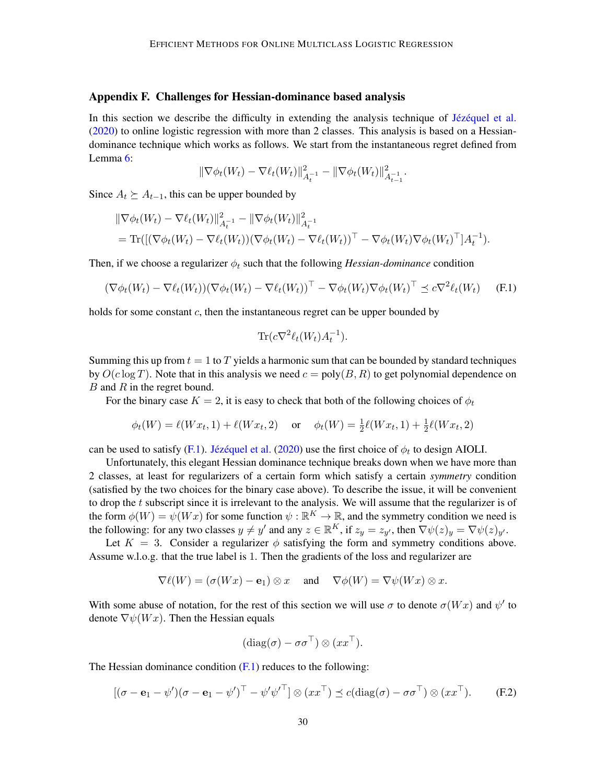#### <span id="page-29-0"></span>Appendix F. Challenges for Hessian-dominance based analysis

In this section we describe the difficulty in extending the analysis technique of Jézéquel et al. [\(2020\)](#page-13-4) to online logistic regression with more than 2 classes. This analysis is based on a Hessiandominance technique which works as follows. We start from the instantaneous regret defined from Lemma [6:](#page-5-3)

$$
\|\nabla \phi_t(W_t) - \nabla \ell_t(W_t)\|_{A_t^{-1}}^2 - \|\nabla \phi_t(W_t)\|_{A_{t-1}^{-1}}^2.
$$

Since  $A_t \succeq A_{t-1}$ , this can be upper bounded by

$$
\|\nabla \phi_t(W_t) - \nabla \ell_t(W_t)\|_{A_t^{-1}}^2 - \|\nabla \phi_t(W_t)\|_{A_t^{-1}}^2 = \text{Tr}\left(\left[(\nabla \phi_t(W_t) - \nabla \ell_t(W_t))(\nabla \phi_t(W_t) - \nabla \ell_t(W_t))^\top - \nabla \phi_t(W_t) \nabla \phi_t(W_t)^\top\right]A_t^{-1}\right).
$$

Then, if we choose a regularizer  $\phi_t$  such that the following *Hessian-dominance* condition

<span id="page-29-1"></span>
$$
(\nabla \phi_t(W_t) - \nabla \ell_t(W_t))(\nabla \phi_t(W_t) - \nabla \ell_t(W_t))^\top - \nabla \phi_t(W_t) \nabla \phi_t(W_t)^\top \preceq c \nabla^2 \ell_t(W_t)
$$
 (F.1)

holds for some constant  $c$ , then the instantaneous regret can be upper bounded by

$$
\text{Tr}(c\nabla^2 \ell_t(W_t)A_t^{-1}).
$$

Summing this up from  $t = 1$  to T yields a harmonic sum that can be bounded by standard techniques by  $O(c \log T)$ . Note that in this analysis we need  $c = poly(B, R)$  to get polynomial dependence on  $B$  and  $R$  in the regret bound.

For the binary case  $K = 2$ , it is easy to check that both of the following choices of  $\phi_t$ 

$$
\phi_t(W) = \ell(Wx_t, 1) + \ell(Wx_t, 2)
$$
 or  $\phi_t(W) = \frac{1}{2}\ell(Wx_t, 1) + \frac{1}{2}\ell(Wx_t, 2)$ 

can be used to satisfy [\(F.1\)](#page-29-1). Jézéquel et al. [\(2020\)](#page-13-4) use the first choice of  $\phi_t$  to design AIOLI.

Unfortunately, this elegant Hessian dominance technique breaks down when we have more than 2 classes, at least for regularizers of a certain form which satisfy a certain *symmetry* condition (satisfied by the two choices for the binary case above). To describe the issue, it will be convenient to drop the  $t$  subscript since it is irrelevant to the analysis. We will assume that the regularizer is of the form  $\phi(W) = \psi(Wx)$  for some function  $\psi : \mathbb{R}^K \to \mathbb{R}$ , and the symmetry condition we need is the following: for any two classes  $y \neq y'$  and any  $z \in \mathbb{R}^K$ , if  $z_y = z_{y'}$ , then  $\nabla \psi(z)_y = \nabla \psi(z)_{y'}$ .

Let  $K = 3$ . Consider a regularizer  $\phi$  satisfying the form and symmetry conditions above. Assume w.l.o.g. that the true label is 1. Then the gradients of the loss and regularizer are

$$
\nabla \ell(W) = (\sigma(Wx) - \mathbf{e}_1) \otimes x \quad \text{ and } \quad \nabla \phi(W) = \nabla \psi(Wx) \otimes x.
$$

With some abuse of notation, for the rest of this section we will use  $\sigma$  to denote  $\sigma(Wx)$  and  $\psi'$  to denote  $\nabla \psi(Wx)$ . Then the Hessian equals

$$
(\mathrm{diag}(\sigma) - \sigma \sigma^{\top}) \otimes (xx^{\top}).
$$

The Hessian dominance condition  $(F.1)$  reduces to the following:

<span id="page-29-2"></span>
$$
[(\sigma - \mathbf{e}_1 - \psi')(\sigma - \mathbf{e}_1 - \psi')^\top - \psi'\psi'^\top] \otimes (xx^\top) \preceq c(\text{diag}(\sigma) - \sigma\sigma^\top) \otimes (xx^\top). \tag{F.2}
$$